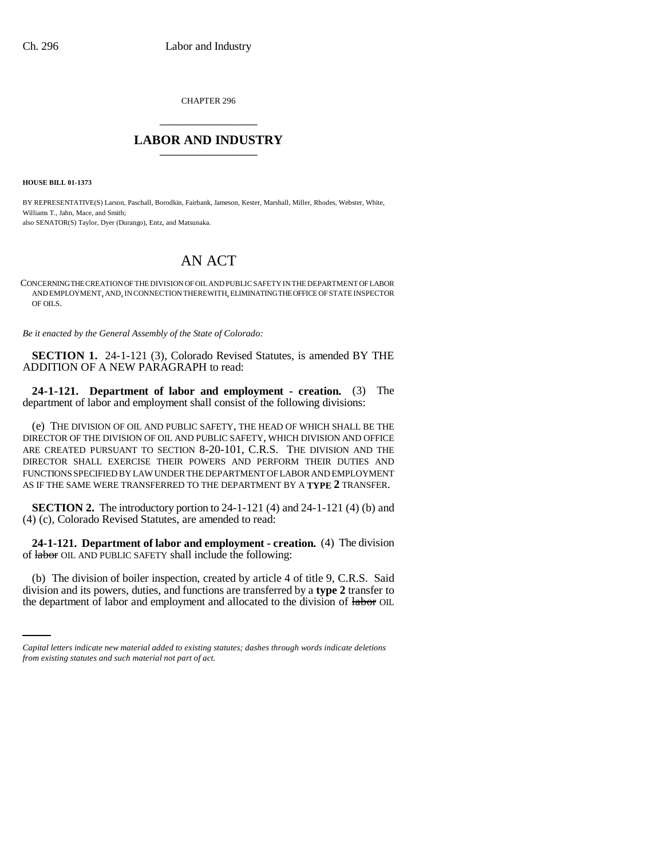CHAPTER 296 \_\_\_\_\_\_\_\_\_\_\_\_\_\_\_

# **LABOR AND INDUSTRY** \_\_\_\_\_\_\_\_\_\_\_\_\_\_\_

**HOUSE BILL 01-1373**

BY REPRESENTATIVE(S) Larson, Paschall, Borodkin, Fairbank, Jameson, Kester, Marshall, Miller, Rhodes, Webster, White, Williams T., Jahn, Mace, and Smith; also SENATOR(S) Taylor, Dyer (Durango), Entz, and Matsunaka.

# AN ACT

CONCERNING THE CREATION OF THE DIVISION OF OIL AND PUBLIC SAFETY IN THE DEPARTMENT OF LABOR AND EMPLOYMENT, AND, IN CONNECTION THEREWITH, ELIMINATING THE OFFICE OF STATE INSPECTOR OF OILS.

*Be it enacted by the General Assembly of the State of Colorado:*

**SECTION 1.** 24-1-121 (3), Colorado Revised Statutes, is amended BY THE ADDITION OF A NEW PARAGRAPH to read:

**24-1-121. Department of labor and employment - creation.** (3) The department of labor and employment shall consist of the following divisions:

(e) THE DIVISION OF OIL AND PUBLIC SAFETY, THE HEAD OF WHICH SHALL BE THE DIRECTOR OF THE DIVISION OF OIL AND PUBLIC SAFETY, WHICH DIVISION AND OFFICE ARE CREATED PURSUANT TO SECTION 8-20-101, C.R.S. THE DIVISION AND THE DIRECTOR SHALL EXERCISE THEIR POWERS AND PERFORM THEIR DUTIES AND FUNCTIONS SPECIFIED BY LAW UNDER THE DEPARTMENT OF LABOR AND EMPLOYMENT AS IF THE SAME WERE TRANSFERRED TO THE DEPARTMENT BY A **TYPE 2** TRANSFER.

**SECTION 2.** The introductory portion to 24-1-121 (4) and 24-1-121 (4) (b) and (4) (c), Colorado Revised Statutes, are amended to read:

**24-1-121. Department of labor and employment - creation.** (4) The division of labor OIL AND PUBLIC SAFETY shall include the following:

(b) The division of boiler inspection, created by article 4 of title 9, C.R.S. Said division and its powers, duties, and functions are transferred by a **type 2** transfer to the department of labor and employment and allocated to the division of labor OIL

*Capital letters indicate new material added to existing statutes; dashes through words indicate deletions from existing statutes and such material not part of act.*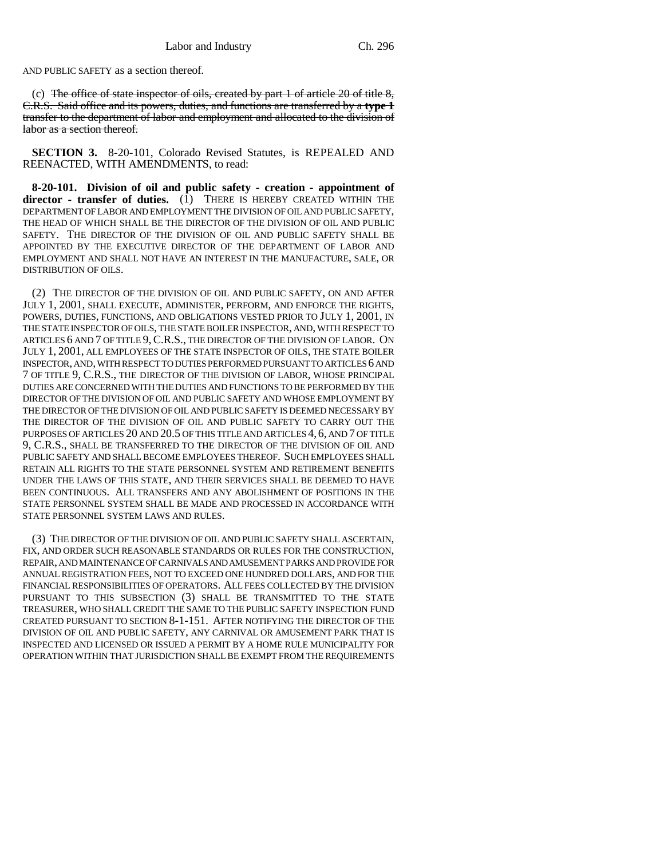AND PUBLIC SAFETY as a section thereof.

(c) The office of state inspector of oils, created by part 1 of article  $20$  of title  $8$ , C.R.S. Said office and its powers, duties, and functions are transferred by a **type 1** transfer to the department of labor and employment and allocated to the division of labor as a section thereof.

**SECTION 3.** 8-20-101, Colorado Revised Statutes, is REPEALED AND REENACTED, WITH AMENDMENTS, to read:

**8-20-101. Division of oil and public safety - creation - appointment of** director - transfer of duties. (1) THERE IS HEREBY CREATED WITHIN THE DEPARTMENT OF LABOR AND EMPLOYMENT THE DIVISION OF OIL AND PUBLIC SAFETY, THE HEAD OF WHICH SHALL BE THE DIRECTOR OF THE DIVISION OF OIL AND PUBLIC SAFETY. THE DIRECTOR OF THE DIVISION OF OIL AND PUBLIC SAFETY SHALL BE APPOINTED BY THE EXECUTIVE DIRECTOR OF THE DEPARTMENT OF LABOR AND EMPLOYMENT AND SHALL NOT HAVE AN INTEREST IN THE MANUFACTURE, SALE, OR DISTRIBUTION OF OILS.

(2) THE DIRECTOR OF THE DIVISION OF OIL AND PUBLIC SAFETY, ON AND AFTER JULY 1, 2001, SHALL EXECUTE, ADMINISTER, PERFORM, AND ENFORCE THE RIGHTS, POWERS, DUTIES, FUNCTIONS, AND OBLIGATIONS VESTED PRIOR TO JULY 1, 2001, IN THE STATE INSPECTOR OF OILS, THE STATE BOILER INSPECTOR, AND, WITH RESPECT TO ARTICLES 6 AND 7 OF TITLE 9, C.R.S., THE DIRECTOR OF THE DIVISION OF LABOR. ON JULY 1, 2001, ALL EMPLOYEES OF THE STATE INSPECTOR OF OILS, THE STATE BOILER INSPECTOR, AND, WITH RESPECT TO DUTIES PERFORMED PURSUANT TO ARTICLES 6 AND 7 OF TITLE 9, C.R.S., THE DIRECTOR OF THE DIVISION OF LABOR, WHOSE PRINCIPAL DUTIES ARE CONCERNED WITH THE DUTIES AND FUNCTIONS TO BE PERFORMED BY THE DIRECTOR OF THE DIVISION OF OIL AND PUBLIC SAFETY AND WHOSE EMPLOYMENT BY THE DIRECTOR OF THE DIVISION OF OIL AND PUBLIC SAFETY IS DEEMED NECESSARY BY THE DIRECTOR OF THE DIVISION OF OIL AND PUBLIC SAFETY TO CARRY OUT THE PURPOSES OF ARTICLES 20 AND 20.5 OF THIS TITLE AND ARTICLES 4, 6, AND 7 OF TITLE 9, C.R.S., SHALL BE TRANSFERRED TO THE DIRECTOR OF THE DIVISION OF OIL AND PUBLIC SAFETY AND SHALL BECOME EMPLOYEES THEREOF. SUCH EMPLOYEES SHALL RETAIN ALL RIGHTS TO THE STATE PERSONNEL SYSTEM AND RETIREMENT BENEFITS UNDER THE LAWS OF THIS STATE, AND THEIR SERVICES SHALL BE DEEMED TO HAVE BEEN CONTINUOUS. ALL TRANSFERS AND ANY ABOLISHMENT OF POSITIONS IN THE STATE PERSONNEL SYSTEM SHALL BE MADE AND PROCESSED IN ACCORDANCE WITH STATE PERSONNEL SYSTEM LAWS AND RULES.

(3) THE DIRECTOR OF THE DIVISION OF OIL AND PUBLIC SAFETY SHALL ASCERTAIN, FIX, AND ORDER SUCH REASONABLE STANDARDS OR RULES FOR THE CONSTRUCTION, REPAIR, AND MAINTENANCE OF CARNIVALS AND AMUSEMENT PARKS AND PROVIDE FOR ANNUAL REGISTRATION FEES, NOT TO EXCEED ONE HUNDRED DOLLARS, AND FOR THE FINANCIAL RESPONSIBILITIES OF OPERATORS. ALL FEES COLLECTED BY THE DIVISION PURSUANT TO THIS SUBSECTION (3) SHALL BE TRANSMITTED TO THE STATE TREASURER, WHO SHALL CREDIT THE SAME TO THE PUBLIC SAFETY INSPECTION FUND CREATED PURSUANT TO SECTION 8-1-151. AFTER NOTIFYING THE DIRECTOR OF THE DIVISION OF OIL AND PUBLIC SAFETY, ANY CARNIVAL OR AMUSEMENT PARK THAT IS INSPECTED AND LICENSED OR ISSUED A PERMIT BY A HOME RULE MUNICIPALITY FOR OPERATION WITHIN THAT JURISDICTION SHALL BE EXEMPT FROM THE REQUIREMENTS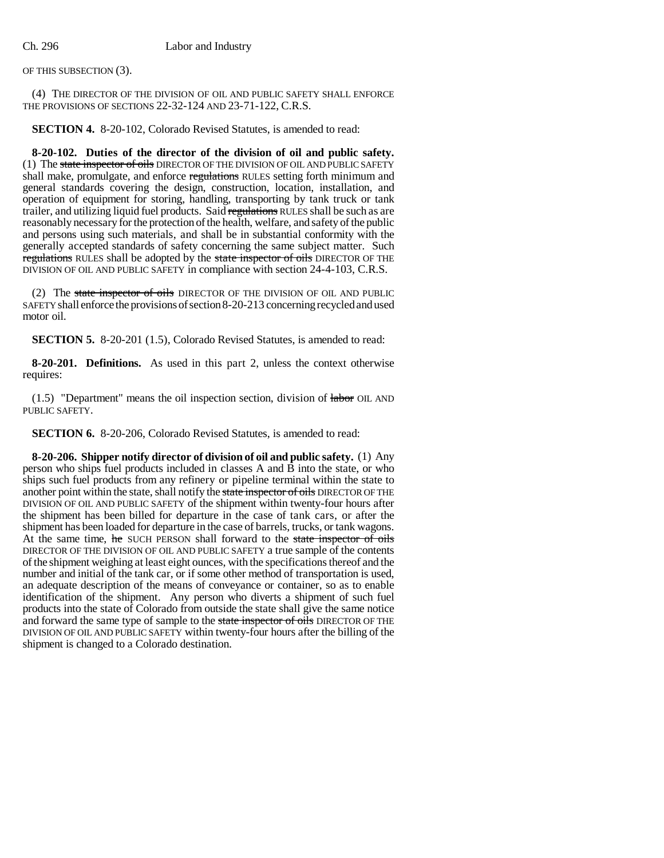OF THIS SUBSECTION (3).

(4) THE DIRECTOR OF THE DIVISION OF OIL AND PUBLIC SAFETY SHALL ENFORCE THE PROVISIONS OF SECTIONS 22-32-124 AND 23-71-122, C.R.S.

**SECTION 4.** 8-20-102, Colorado Revised Statutes, is amended to read:

**8-20-102. Duties of the director of the division of oil and public safety.** (1) The state inspector of oils DIRECTOR OF THE DIVISION OF OIL AND PUBLIC SAFETY shall make, promulgate, and enforce regulations RULES setting forth minimum and general standards covering the design, construction, location, installation, and operation of equipment for storing, handling, transporting by tank truck or tank trailer, and utilizing liquid fuel products. Said regulations RULES shall be such as are reasonably necessary for the protection of the health, welfare, and safety of the public and persons using such materials, and shall be in substantial conformity with the generally accepted standards of safety concerning the same subject matter. Such regulations RULES shall be adopted by the state inspector of oils DIRECTOR OF THE DIVISION OF OIL AND PUBLIC SAFETY in compliance with section 24-4-103, C.R.S.

(2) The state inspector of oils DIRECTOR OF THE DIVISION OF OIL AND PUBLIC SAFETY shall enforce the provisions of section 8-20-213 concerning recycled and used motor oil.

**SECTION 5.** 8-20-201 (1.5), Colorado Revised Statutes, is amended to read:

**8-20-201. Definitions.** As used in this part 2, unless the context otherwise requires:

 $(1.5)$  "Department" means the oil inspection section, division of  $labor$  OIL AND PUBLIC SAFETY.

**SECTION 6.** 8-20-206, Colorado Revised Statutes, is amended to read:

**8-20-206. Shipper notify director of division of oil and public safety.** (1) Any person who ships fuel products included in classes A and B into the state, or who ships such fuel products from any refinery or pipeline terminal within the state to another point within the state, shall notify the state inspector of oils DIRECTOR OF THE DIVISION OF OIL AND PUBLIC SAFETY of the shipment within twenty-four hours after the shipment has been billed for departure in the case of tank cars, or after the shipment has been loaded for departure in the case of barrels, trucks, or tank wagons. At the same time, he SUCH PERSON shall forward to the state inspector of oils DIRECTOR OF THE DIVISION OF OIL AND PUBLIC SAFETY a true sample of the contents of the shipment weighing at least eight ounces, with the specifications thereof and the number and initial of the tank car, or if some other method of transportation is used, an adequate description of the means of conveyance or container, so as to enable identification of the shipment. Any person who diverts a shipment of such fuel products into the state of Colorado from outside the state shall give the same notice and forward the same type of sample to the state inspector of oils DIRECTOR OF THE DIVISION OF OIL AND PUBLIC SAFETY within twenty-four hours after the billing of the shipment is changed to a Colorado destination.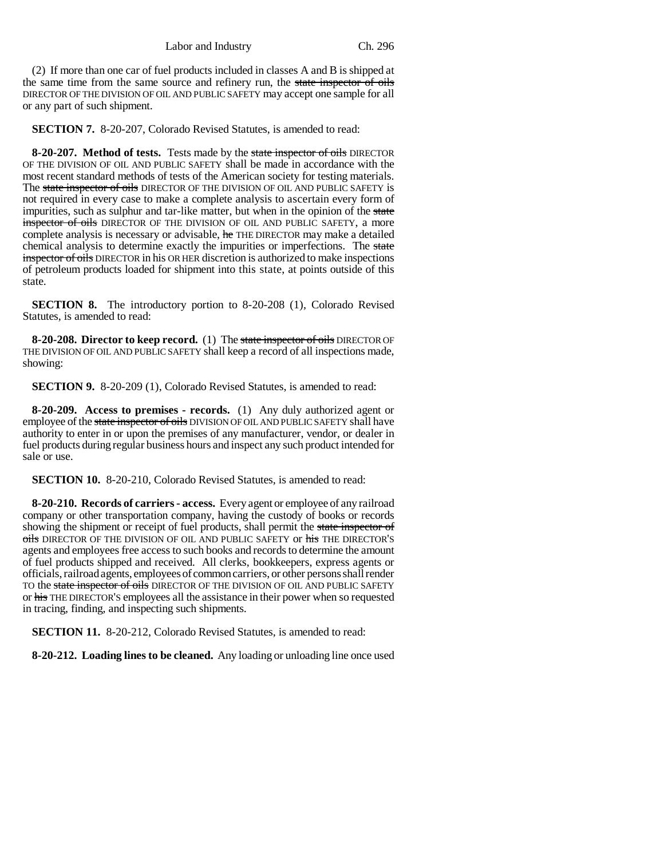(2) If more than one car of fuel products included in classes A and B is shipped at the same time from the same source and refinery run, the state inspector of oils DIRECTOR OF THE DIVISION OF OIL AND PUBLIC SAFETY may accept one sample for all or any part of such shipment.

**SECTION 7.** 8-20-207, Colorado Revised Statutes, is amended to read:

**8-20-207. Method of tests.** Tests made by the state inspector of oils DIRECTOR OF THE DIVISION OF OIL AND PUBLIC SAFETY shall be made in accordance with the most recent standard methods of tests of the American society for testing materials. The state inspector of oils DIRECTOR OF THE DIVISION OF OIL AND PUBLIC SAFETY is not required in every case to make a complete analysis to ascertain every form of impurities, such as sulphur and tar-like matter, but when in the opinion of the state inspector of oils DIRECTOR OF THE DIVISION OF OIL AND PUBLIC SAFETY, a more complete analysis is necessary or advisable, he THE DIRECTOR may make a detailed chemical analysis to determine exactly the impurities or imperfections. The state inspector of oils DIRECTOR in his OR HER discretion is authorized to make inspections of petroleum products loaded for shipment into this state, at points outside of this state.

**SECTION 8.** The introductory portion to 8-20-208 (1), Colorado Revised Statutes, is amended to read:

**8-20-208. Director to keep record.** (1) The state inspector of oils DIRECTOR OF THE DIVISION OF OIL AND PUBLIC SAFETY shall keep a record of all inspections made, showing:

**SECTION 9.** 8-20-209 (1), Colorado Revised Statutes, is amended to read:

**8-20-209. Access to premises - records.** (1) Any duly authorized agent or employee of the state inspector of oils DIVISION OF OIL AND PUBLIC SAFETY shall have authority to enter in or upon the premises of any manufacturer, vendor, or dealer in fuel products during regular business hours and inspect any such product intended for sale or use.

**SECTION 10.** 8-20-210, Colorado Revised Statutes, is amended to read:

**8-20-210. Records of carriers - access.** Every agent or employee of any railroad company or other transportation company, having the custody of books or records showing the shipment or receipt of fuel products, shall permit the state inspector of oils DIRECTOR OF THE DIVISION OF OIL AND PUBLIC SAFETY or his THE DIRECTOR'S agents and employees free access to such books and records to determine the amount of fuel products shipped and received. All clerks, bookkeepers, express agents or officials, railroad agents, employees of common carriers, or other persons shall render TO the state inspector of oils DIRECTOR OF THE DIVISION OF OIL AND PUBLIC SAFETY or his THE DIRECTOR'S employees all the assistance in their power when so requested in tracing, finding, and inspecting such shipments.

**SECTION 11.** 8-20-212, Colorado Revised Statutes, is amended to read:

**8-20-212. Loading lines to be cleaned.** Any loading or unloading line once used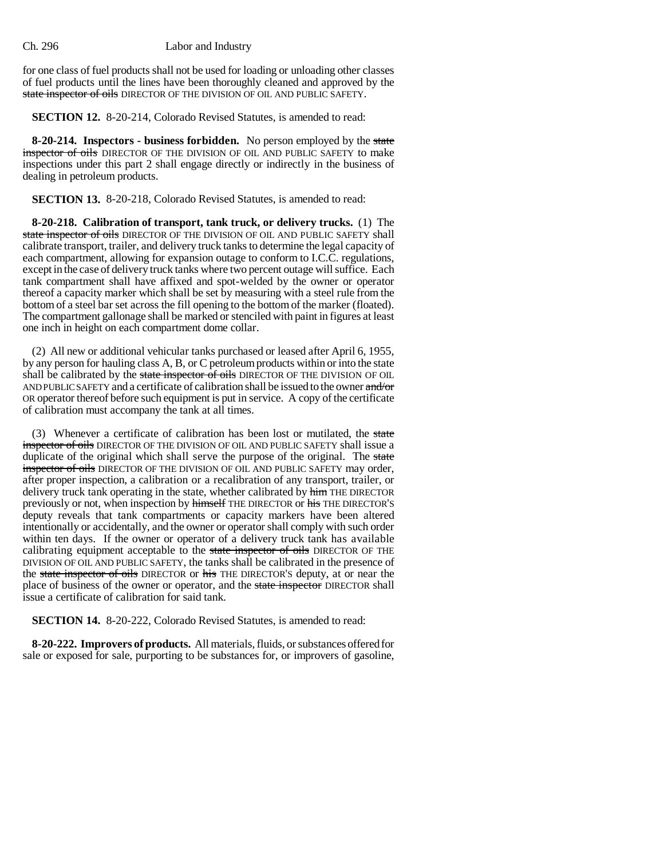for one class of fuel products shall not be used for loading or unloading other classes of fuel products until the lines have been thoroughly cleaned and approved by the state inspector of oils DIRECTOR OF THE DIVISION OF OIL AND PUBLIC SAFETY.

**SECTION 12.** 8-20-214, Colorado Revised Statutes, is amended to read:

**8-20-214. Inspectors - business forbidden.** No person employed by the state inspector of oils DIRECTOR OF THE DIVISION OF OIL AND PUBLIC SAFETY to make inspections under this part 2 shall engage directly or indirectly in the business of dealing in petroleum products.

**SECTION 13.** 8-20-218, Colorado Revised Statutes, is amended to read:

**8-20-218. Calibration of transport, tank truck, or delivery trucks.** (1) The state inspector of oils DIRECTOR OF THE DIVISION OF OIL AND PUBLIC SAFETY shall calibrate transport, trailer, and delivery truck tanks to determine the legal capacity of each compartment, allowing for expansion outage to conform to I.C.C. regulations, except in the case of delivery truck tanks where two percent outage will suffice. Each tank compartment shall have affixed and spot-welded by the owner or operator thereof a capacity marker which shall be set by measuring with a steel rule from the bottom of a steel bar set across the fill opening to the bottom of the marker (floated). The compartment gallonage shall be marked or stenciled with paint in figures at least one inch in height on each compartment dome collar.

(2) All new or additional vehicular tanks purchased or leased after April 6, 1955, by any person for hauling class A, B, or C petroleum products within or into the state shall be calibrated by the state inspector of oils DIRECTOR OF THE DIVISION OF OIL AND PUBLIC SAFETY and a certificate of calibration shall be issued to the owner and/or OR operator thereof before such equipment is put in service. A copy of the certificate of calibration must accompany the tank at all times.

(3) Whenever a certificate of calibration has been lost or mutilated, the state inspector of oils DIRECTOR OF THE DIVISION OF OIL AND PUBLIC SAFETY shall issue a duplicate of the original which shall serve the purpose of the original. The state inspector of oils DIRECTOR OF THE DIVISION OF OIL AND PUBLIC SAFETY may order, after proper inspection, a calibration or a recalibration of any transport, trailer, or delivery truck tank operating in the state, whether calibrated by h<sub>im</sub> THE DIRECTOR previously or not, when inspection by himself THE DIRECTOR or his THE DIRECTOR'S deputy reveals that tank compartments or capacity markers have been altered intentionally or accidentally, and the owner or operator shall comply with such order within ten days. If the owner or operator of a delivery truck tank has available calibrating equipment acceptable to the state inspector of oils DIRECTOR OF THE DIVISION OF OIL AND PUBLIC SAFETY, the tanks shall be calibrated in the presence of the state inspector of oils DIRECTOR or his THE DIRECTOR's deputy, at or near the place of business of the owner or operator, and the state inspector DIRECTOR shall issue a certificate of calibration for said tank.

**SECTION 14.** 8-20-222, Colorado Revised Statutes, is amended to read:

**8-20-222. Improvers of products.** All materials, fluids, or substances offered for sale or exposed for sale, purporting to be substances for, or improvers of gasoline,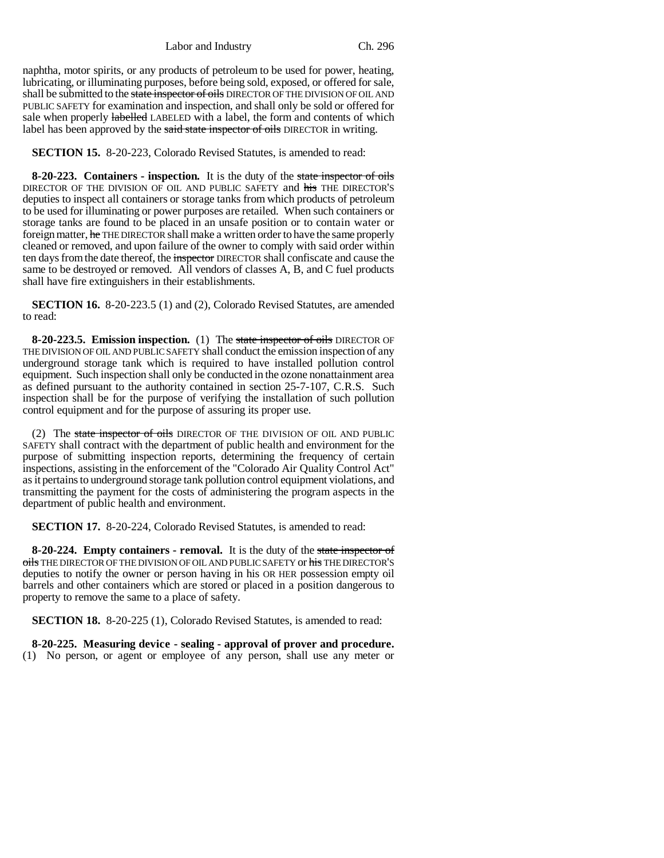naphtha, motor spirits, or any products of petroleum to be used for power, heating, lubricating, or illuminating purposes, before being sold, exposed, or offered for sale, shall be submitted to the state inspector of oils DIRECTOR OF THE DIVISION OF OIL AND PUBLIC SAFETY for examination and inspection, and shall only be sold or offered for sale when properly **labelled** LABELED with a label, the form and contents of which label has been approved by the said state inspector of oils DIRECTOR in writing.

**SECTION 15.** 8-20-223, Colorado Revised Statutes, is amended to read:

**8-20-223. Containers - inspection.** It is the duty of the state inspector of oils DIRECTOR OF THE DIVISION OF OIL AND PUBLIC SAFETY and his THE DIRECTOR'S deputies to inspect all containers or storage tanks from which products of petroleum to be used for illuminating or power purposes are retailed. When such containers or storage tanks are found to be placed in an unsafe position or to contain water or foreign matter, he THE DIRECTOR shall make a written order to have the same properly cleaned or removed, and upon failure of the owner to comply with said order within ten days from the date thereof, the inspector DIRECTOR shall confiscate and cause the same to be destroyed or removed. All vendors of classes A, B, and C fuel products shall have fire extinguishers in their establishments.

**SECTION 16.** 8-20-223.5 (1) and (2), Colorado Revised Statutes, are amended to read:

**8-20-223.5. Emission inspection.** (1) The state inspector of oils DIRECTOR OF THE DIVISION OF OIL AND PUBLIC SAFETY shall conduct the emission inspection of any underground storage tank which is required to have installed pollution control equipment. Such inspection shall only be conducted in the ozone nonattainment area as defined pursuant to the authority contained in section 25-7-107, C.R.S. Such inspection shall be for the purpose of verifying the installation of such pollution control equipment and for the purpose of assuring its proper use.

(2) The state inspector of oils DIRECTOR OF THE DIVISION OF OIL AND PUBLIC SAFETY shall contract with the department of public health and environment for the purpose of submitting inspection reports, determining the frequency of certain inspections, assisting in the enforcement of the "Colorado Air Quality Control Act" as it pertains to underground storage tank pollution control equipment violations, and transmitting the payment for the costs of administering the program aspects in the department of public health and environment.

**SECTION 17.** 8-20-224, Colorado Revised Statutes, is amended to read:

**8-20-224. Empty containers - removal.** It is the duty of the state inspector of oils THE DIRECTOR OF THE DIVISION OF OIL AND PUBLIC SAFETY or his THE DIRECTOR'S deputies to notify the owner or person having in his OR HER possession empty oil barrels and other containers which are stored or placed in a position dangerous to property to remove the same to a place of safety.

**SECTION 18.** 8-20-225 (1), Colorado Revised Statutes, is amended to read:

**8-20-225. Measuring device - sealing - approval of prover and procedure.** (1) No person, or agent or employee of any person, shall use any meter or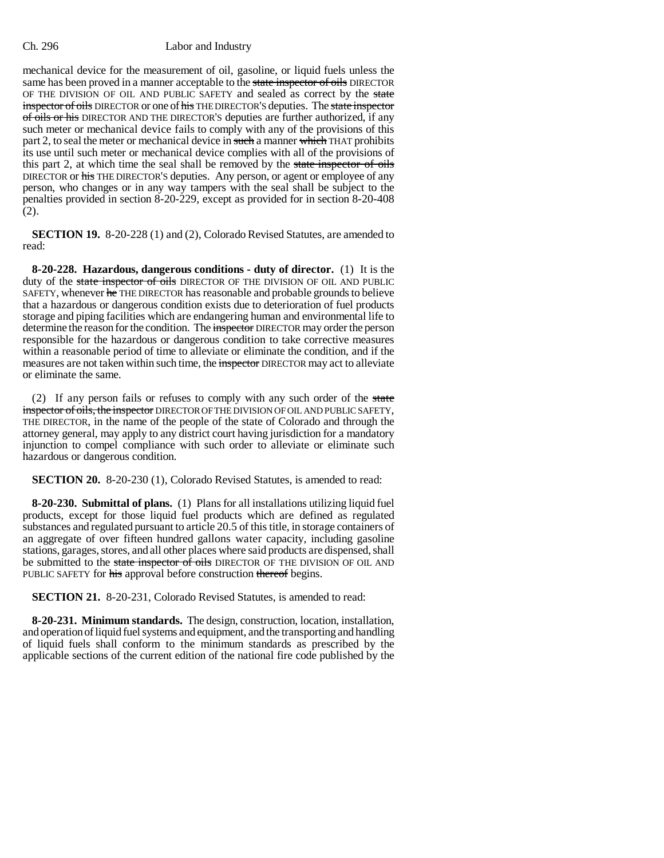mechanical device for the measurement of oil, gasoline, or liquid fuels unless the same has been proved in a manner acceptable to the state inspector of oils DIRECTOR OF THE DIVISION OF OIL AND PUBLIC SAFETY and sealed as correct by the state inspector of oils DIRECTOR or one of his THE DIRECTOR'S deputies. The state inspector of oils or his DIRECTOR AND THE DIRECTOR'S deputies are further authorized, if any such meter or mechanical device fails to comply with any of the provisions of this part 2, to seal the meter or mechanical device in such a manner which THAT prohibits its use until such meter or mechanical device complies with all of the provisions of this part 2, at which time the seal shall be removed by the state inspector of oils DIRECTOR or his THE DIRECTOR'S deputies. Any person, or agent or employee of any person, who changes or in any way tampers with the seal shall be subject to the penalties provided in section 8-20-229, except as provided for in section 8-20-408 (2).

**SECTION 19.** 8-20-228 (1) and (2), Colorado Revised Statutes, are amended to read:

**8-20-228. Hazardous, dangerous conditions - duty of director.** (1) It is the duty of the state inspector of oils DIRECTOR OF THE DIVISION OF OIL AND PUBLIC SAFETY, whenever he THE DIRECTOR has reasonable and probable grounds to believe that a hazardous or dangerous condition exists due to deterioration of fuel products storage and piping facilities which are endangering human and environmental life to determine the reason for the condition. The inspector DIRECTOR may order the person responsible for the hazardous or dangerous condition to take corrective measures within a reasonable period of time to alleviate or eliminate the condition, and if the measures are not taken within such time, the inspector DIRECTOR may act to alleviate or eliminate the same.

(2) If any person fails or refuses to comply with any such order of the state inspector of oils, the inspector DIRECTOR OF THE DIVISION OF OIL AND PUBLIC SAFETY, THE DIRECTOR, in the name of the people of the state of Colorado and through the attorney general, may apply to any district court having jurisdiction for a mandatory injunction to compel compliance with such order to alleviate or eliminate such hazardous or dangerous condition.

**SECTION 20.** 8-20-230 (1), Colorado Revised Statutes, is amended to read:

**8-20-230. Submittal of plans.** (1) Plans for all installations utilizing liquid fuel products, except for those liquid fuel products which are defined as regulated substances and regulated pursuant to article 20.5 of this title, in storage containers of an aggregate of over fifteen hundred gallons water capacity, including gasoline stations, garages, stores, and all other places where said products are dispensed, shall be submitted to the state inspector of oils DIRECTOR OF THE DIVISION OF OIL AND PUBLIC SAFETY for his approval before construction thereof begins.

**SECTION 21.** 8-20-231, Colorado Revised Statutes, is amended to read:

**8-20-231. Minimum standards.** The design, construction, location, installation, and operation of liquid fuel systems and equipment, and the transporting and handling of liquid fuels shall conform to the minimum standards as prescribed by the applicable sections of the current edition of the national fire code published by the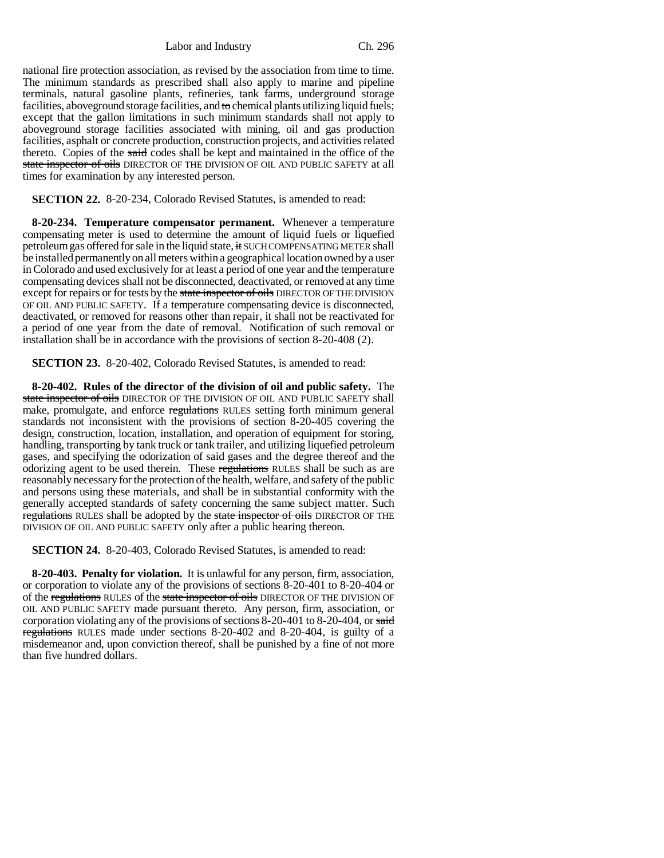national fire protection association, as revised by the association from time to time. The minimum standards as prescribed shall also apply to marine and pipeline terminals, natural gasoline plants, refineries, tank farms, underground storage facilities, aboveground storage facilities, and to chemical plants utilizing liquid fuels; except that the gallon limitations in such minimum standards shall not apply to aboveground storage facilities associated with mining, oil and gas production facilities, asphalt or concrete production, construction projects, and activities related thereto. Copies of the said codes shall be kept and maintained in the office of the state inspector of oils DIRECTOR OF THE DIVISION OF OIL AND PUBLIC SAFETY at all times for examination by any interested person.

**SECTION 22.** 8-20-234, Colorado Revised Statutes, is amended to read:

**8-20-234. Temperature compensator permanent.** Whenever a temperature compensating meter is used to determine the amount of liquid fuels or liquefied petroleum gas offered for sale in the liquid state, it SUCH COMPENSATING METER shall be installed permanently on all meters within a geographical location owned by a user in Colorado and used exclusively for at least a period of one year and the temperature compensating devices shall not be disconnected, deactivated, or removed at any time except for repairs or for tests by the state inspector of oils DIRECTOR OF THE DIVISION OF OIL AND PUBLIC SAFETY. If a temperature compensating device is disconnected, deactivated, or removed for reasons other than repair, it shall not be reactivated for a period of one year from the date of removal. Notification of such removal or installation shall be in accordance with the provisions of section 8-20-408 (2).

**SECTION 23.** 8-20-402, Colorado Revised Statutes, is amended to read:

**8-20-402. Rules of the director of the division of oil and public safety.** The state inspector of oils DIRECTOR OF THE DIVISION OF OIL AND PUBLIC SAFETY shall make, promulgate, and enforce regulations RULES setting forth minimum general standards not inconsistent with the provisions of section 8-20-405 covering the design, construction, location, installation, and operation of equipment for storing, handling, transporting by tank truck or tank trailer, and utilizing liquefied petroleum gases, and specifying the odorization of said gases and the degree thereof and the odorizing agent to be used therein. These regulations RULES shall be such as are reasonably necessary for the protection of the health, welfare, and safety of the public and persons using these materials, and shall be in substantial conformity with the generally accepted standards of safety concerning the same subject matter. Such regulations RULES shall be adopted by the state inspector of oils DIRECTOR OF THE DIVISION OF OIL AND PUBLIC SAFETY only after a public hearing thereon.

**SECTION 24.** 8-20-403, Colorado Revised Statutes, is amended to read:

**8-20-403. Penalty for violation.** It is unlawful for any person, firm, association, or corporation to violate any of the provisions of sections 8-20-401 to 8-20-404 or of the regulations RULES of the state inspector of oils DIRECTOR OF THE DIVISION OF OIL AND PUBLIC SAFETY made pursuant thereto. Any person, firm, association, or corporation violating any of the provisions of sections 8-20-401 to 8-20-404, or said regulations RULES made under sections 8-20-402 and 8-20-404, is guilty of a misdemeanor and, upon conviction thereof, shall be punished by a fine of not more than five hundred dollars.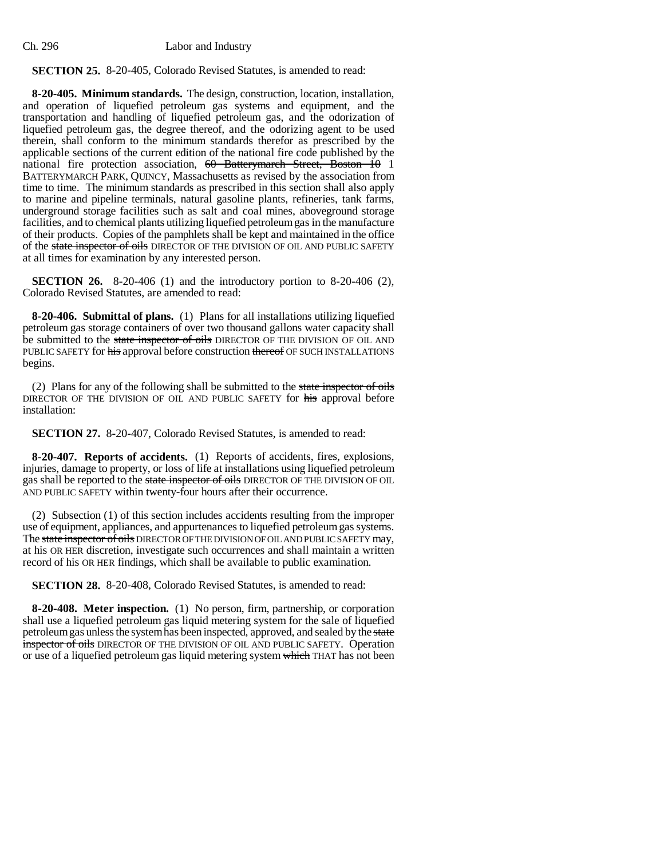# **SECTION 25.** 8-20-405, Colorado Revised Statutes, is amended to read:

**8-20-405. Minimum standards.** The design, construction, location, installation, and operation of liquefied petroleum gas systems and equipment, and the transportation and handling of liquefied petroleum gas, and the odorization of liquefied petroleum gas, the degree thereof, and the odorizing agent to be used therein, shall conform to the minimum standards therefor as prescribed by the applicable sections of the current edition of the national fire code published by the national fire protection association, 60 Batterymarch Street, Boston 10 1 BATTERYMARCH PARK, QUINCY, Massachusetts as revised by the association from time to time. The minimum standards as prescribed in this section shall also apply to marine and pipeline terminals, natural gasoline plants, refineries, tank farms, underground storage facilities such as salt and coal mines, aboveground storage facilities, and to chemical plants utilizing liquefied petroleum gas in the manufacture of their products. Copies of the pamphlets shall be kept and maintained in the office of the state inspector of oils DIRECTOR OF THE DIVISION OF OIL AND PUBLIC SAFETY at all times for examination by any interested person.

**SECTION 26.** 8-20-406 (1) and the introductory portion to 8-20-406 (2), Colorado Revised Statutes, are amended to read:

**8-20-406. Submittal of plans.** (1) Plans for all installations utilizing liquefied petroleum gas storage containers of over two thousand gallons water capacity shall be submitted to the state inspector of oils DIRECTOR OF THE DIVISION OF OIL AND PUBLIC SAFETY for his approval before construction thereof OF SUCH INSTALLATIONS begins.

(2) Plans for any of the following shall be submitted to the state inspector of oils DIRECTOR OF THE DIVISION OF OIL AND PUBLIC SAFETY for his approval before installation:

**SECTION 27.** 8-20-407, Colorado Revised Statutes, is amended to read:

**8-20-407. Reports of accidents.** (1) Reports of accidents, fires, explosions, injuries, damage to property, or loss of life at installations using liquefied petroleum gas shall be reported to the state inspector of oils DIRECTOR OF THE DIVISION OF OIL AND PUBLIC SAFETY within twenty-four hours after their occurrence.

(2) Subsection (1) of this section includes accidents resulting from the improper use of equipment, appliances, and appurtenances to liquefied petroleum gas systems. The state inspector of oils DIRECTOR OF THE DIVISION OF OIL AND PUBLIC SAFETY may, at his OR HER discretion, investigate such occurrences and shall maintain a written record of his OR HER findings, which shall be available to public examination.

**SECTION 28.** 8-20-408, Colorado Revised Statutes, is amended to read:

**8-20-408. Meter inspection.** (1) No person, firm, partnership, or corporation shall use a liquefied petroleum gas liquid metering system for the sale of liquefied petroleum gas unless the system has been inspected, approved, and sealed by the state inspector of oils DIRECTOR OF THE DIVISION OF OIL AND PUBLIC SAFETY. Operation or use of a liquefied petroleum gas liquid metering system which THAT has not been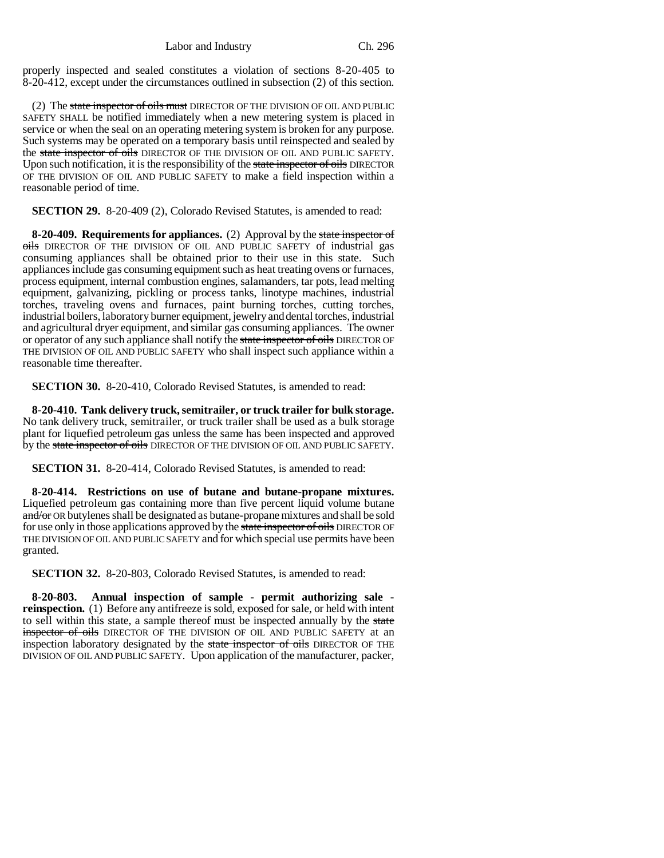properly inspected and sealed constitutes a violation of sections 8-20-405 to 8-20-412, except under the circumstances outlined in subsection (2) of this section.

(2) The state inspector of oils must DIRECTOR OF THE DIVISION OF OIL AND PUBLIC SAFETY SHALL be notified immediately when a new metering system is placed in service or when the seal on an operating metering system is broken for any purpose. Such systems may be operated on a temporary basis until reinspected and sealed by the state inspector of oils DIRECTOR OF THE DIVISION OF OIL AND PUBLIC SAFETY. Upon such notification, it is the responsibility of the state inspector of oils DIRECTOR OF THE DIVISION OF OIL AND PUBLIC SAFETY to make a field inspection within a reasonable period of time.

**SECTION 29.** 8-20-409 (2), Colorado Revised Statutes, is amended to read:

**8-20-409. Requirements for appliances.** (2) Approval by the state inspector of oils DIRECTOR OF THE DIVISION OF OIL AND PUBLIC SAFETY of industrial gas consuming appliances shall be obtained prior to their use in this state. Such appliances include gas consuming equipment such as heat treating ovens or furnaces, process equipment, internal combustion engines, salamanders, tar pots, lead melting equipment, galvanizing, pickling or process tanks, linotype machines, industrial torches, traveling ovens and furnaces, paint burning torches, cutting torches, industrial boilers, laboratory burner equipment, jewelry and dental torches, industrial and agricultural dryer equipment, and similar gas consuming appliances. The owner or operator of any such appliance shall notify the state inspector of oils DIRECTOR OF THE DIVISION OF OIL AND PUBLIC SAFETY who shall inspect such appliance within a reasonable time thereafter.

**SECTION 30.** 8-20-410, Colorado Revised Statutes, is amended to read:

**8-20-410. Tank delivery truck, semitrailer, or truck trailer for bulk storage.** No tank delivery truck, semitrailer, or truck trailer shall be used as a bulk storage plant for liquefied petroleum gas unless the same has been inspected and approved by the state inspector of oils DIRECTOR OF THE DIVISION OF OIL AND PUBLIC SAFETY.

**SECTION 31.** 8-20-414, Colorado Revised Statutes, is amended to read:

**8-20-414. Restrictions on use of butane and butane-propane mixtures.** Liquefied petroleum gas containing more than five percent liquid volume butane and/or OR butylenes shall be designated as butane-propane mixtures and shall be sold for use only in those applications approved by the state inspector of oils DIRECTOR OF THE DIVISION OF OIL AND PUBLIC SAFETY and for which special use permits have been granted.

**SECTION 32.** 8-20-803, Colorado Revised Statutes, is amended to read:

**8-20-803. Annual inspection of sample - permit authorizing sale reinspection.** (1) Before any antifreeze is sold, exposed for sale, or held with intent to sell within this state, a sample thereof must be inspected annually by the state inspector of oils DIRECTOR OF THE DIVISION OF OIL AND PUBLIC SAFETY at an inspection laboratory designated by the state inspector of oils DIRECTOR OF THE DIVISION OF OIL AND PUBLIC SAFETY. Upon application of the manufacturer, packer,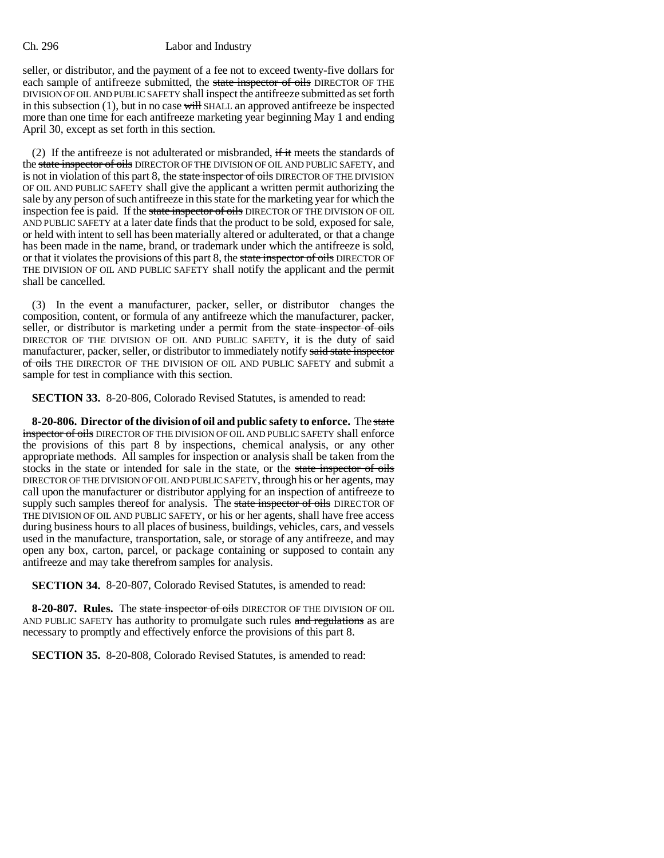seller, or distributor, and the payment of a fee not to exceed twenty-five dollars for each sample of antifreeze submitted, the state inspector of oils DIRECTOR OF THE DIVISION OF OIL AND PUBLIC SAFETY shall inspect the antifreeze submitted as set forth in this subsection  $(1)$ , but in no case will SHALL an approved antifreeze be inspected more than one time for each antifreeze marketing year beginning May 1 and ending April 30, except as set forth in this section.

(2) If the antifreeze is not adulterated or misbranded,  $\frac{d}{dt}$  meets the standards of the state inspector of oils DIRECTOR OF THE DIVISION OF OIL AND PUBLIC SAFETY, and is not in violation of this part 8, the state inspector of oils DIRECTOR OF THE DIVISION OF OIL AND PUBLIC SAFETY shall give the applicant a written permit authorizing the sale by any person of such antifreeze in this state for the marketing year for which the inspection fee is paid. If the state inspector of oils DIRECTOR OF THE DIVISION OF OIL AND PUBLIC SAFETY at a later date finds that the product to be sold, exposed for sale, or held with intent to sell has been materially altered or adulterated, or that a change has been made in the name, brand, or trademark under which the antifreeze is sold, or that it violates the provisions of this part 8, the state inspector of oils DIRECTOR OF THE DIVISION OF OIL AND PUBLIC SAFETY shall notify the applicant and the permit shall be cancelled.

(3) In the event a manufacturer, packer, seller, or distributor changes the composition, content, or formula of any antifreeze which the manufacturer, packer, seller, or distributor is marketing under a permit from the state inspector of oils DIRECTOR OF THE DIVISION OF OIL AND PUBLIC SAFETY, it is the duty of said manufacturer, packer, seller, or distributor to immediately notify said state inspector of oils THE DIRECTOR OF THE DIVISION OF OIL AND PUBLIC SAFETY and submit a sample for test in compliance with this section.

**SECTION 33.** 8-20-806, Colorado Revised Statutes, is amended to read:

**8-20-806. Director of the division of oil and public safety to enforce.** The state inspector of oils DIRECTOR OF THE DIVISION OF OIL AND PUBLIC SAFETY shall enforce the provisions of this part 8 by inspections, chemical analysis, or any other appropriate methods. All samples for inspection or analysis shall be taken from the stocks in the state or intended for sale in the state, or the state inspector of oils DIRECTOR OF THE DIVISION OF OIL AND PUBLIC SAFETY, through his or her agents, may call upon the manufacturer or distributor applying for an inspection of antifreeze to supply such samples thereof for analysis. The state inspector of oils DIRECTOR OF THE DIVISION OF OIL AND PUBLIC SAFETY, or his or her agents, shall have free access during business hours to all places of business, buildings, vehicles, cars, and vessels used in the manufacture, transportation, sale, or storage of any antifreeze, and may open any box, carton, parcel, or package containing or supposed to contain any antifreeze and may take therefrom samples for analysis.

**SECTION 34.** 8-20-807, Colorado Revised Statutes, is amended to read:

**8-20-807. Rules.** The state inspector of oils DIRECTOR OF THE DIVISION OF OIL AND PUBLIC SAFETY has authority to promulgate such rules and regulations as are necessary to promptly and effectively enforce the provisions of this part 8.

**SECTION 35.** 8-20-808, Colorado Revised Statutes, is amended to read: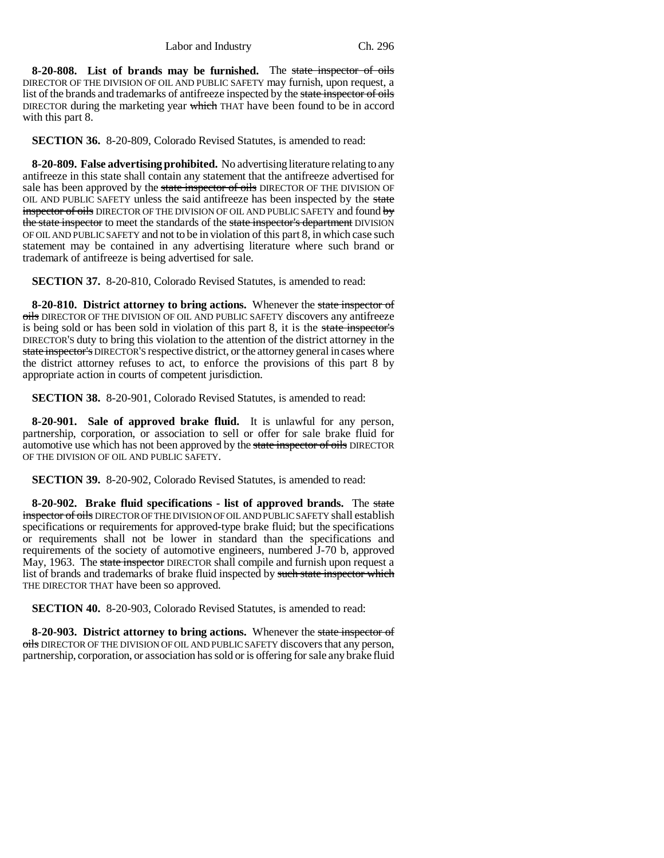**8-20-808. List of brands may be furnished.** The state inspector of oils DIRECTOR OF THE DIVISION OF OIL AND PUBLIC SAFETY may furnish, upon request, a list of the brands and trademarks of antifreeze inspected by the state inspector of oils DIRECTOR during the marketing year which THAT have been found to be in accord with this part 8.

**SECTION 36.** 8-20-809, Colorado Revised Statutes, is amended to read:

**8-20-809. False advertising prohibited.** No advertising literature relating to any antifreeze in this state shall contain any statement that the antifreeze advertised for sale has been approved by the state inspector of oils DIRECTOR OF THE DIVISION OF OIL AND PUBLIC SAFETY unless the said antifreeze has been inspected by the state inspector of oils DIRECTOR OF THE DIVISION OF OIL AND PUBLIC SAFETY and found by the state inspector to meet the standards of the state inspector's department DIVISION OF OIL AND PUBLIC SAFETY and not to be in violation of this part 8, in which case such statement may be contained in any advertising literature where such brand or trademark of antifreeze is being advertised for sale.

**SECTION 37.** 8-20-810, Colorado Revised Statutes, is amended to read:

**8-20-810. District attorney to bring actions.** Whenever the state inspector of oils DIRECTOR OF THE DIVISION OF OIL AND PUBLIC SAFETY discovers any antifreeze is being sold or has been sold in violation of this part 8, it is the state inspector's DIRECTOR'S duty to bring this violation to the attention of the district attorney in the state inspector's DIRECTOR'S respective district, or the attorney general in cases where the district attorney refuses to act, to enforce the provisions of this part 8 by appropriate action in courts of competent jurisdiction.

**SECTION 38.** 8-20-901, Colorado Revised Statutes, is amended to read:

**8-20-901. Sale of approved brake fluid.** It is unlawful for any person, partnership, corporation, or association to sell or offer for sale brake fluid for automotive use which has not been approved by the state inspector of oils DIRECTOR OF THE DIVISION OF OIL AND PUBLIC SAFETY.

**SECTION 39.** 8-20-902, Colorado Revised Statutes, is amended to read:

**8-20-902. Brake fluid specifications - list of approved brands.** The state inspector of oils DIRECTOR OF THE DIVISION OF OIL AND PUBLIC SAFETY shall establish specifications or requirements for approved-type brake fluid; but the specifications or requirements shall not be lower in standard than the specifications and requirements of the society of automotive engineers, numbered J-70 b, approved May, 1963. The state inspector DIRECTOR shall compile and furnish upon request a list of brands and trademarks of brake fluid inspected by such state inspector which THE DIRECTOR THAT have been so approved.

**SECTION 40.** 8-20-903, Colorado Revised Statutes, is amended to read:

**8-20-903. District attorney to bring actions.** Whenever the state inspector of oils DIRECTOR OF THE DIVISION OF OIL AND PUBLIC SAFETY discovers that any person, partnership, corporation, or association has sold or is offering for sale any brake fluid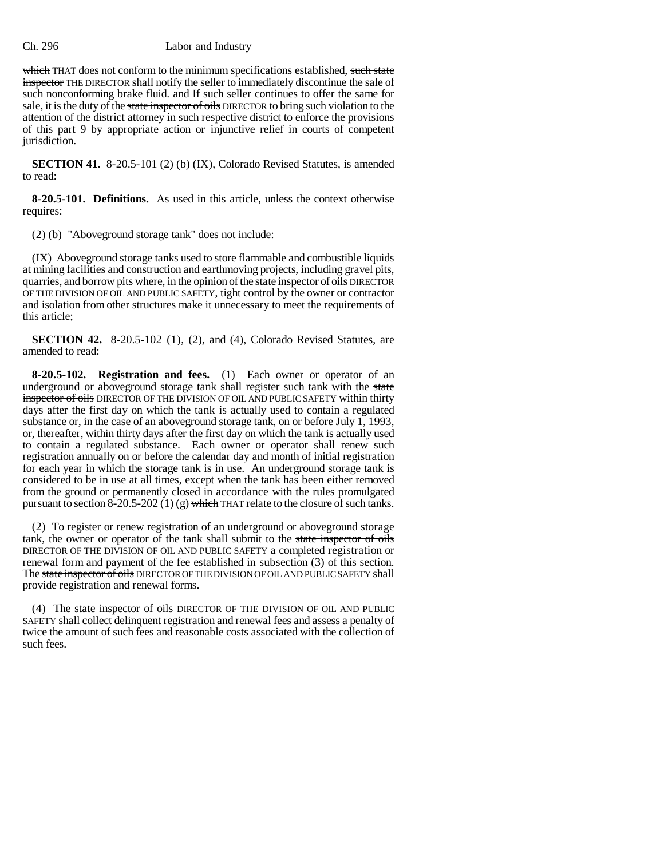which THAT does not conform to the minimum specifications established, such state inspector THE DIRECTOR shall notify the seller to immediately discontinue the sale of such nonconforming brake fluid. and If such seller continues to offer the same for sale, it is the duty of the state inspector of oils DIRECTOR to bring such violation to the attention of the district attorney in such respective district to enforce the provisions of this part 9 by appropriate action or injunctive relief in courts of competent jurisdiction.

**SECTION 41.** 8-20.5-101 (2) (b) (IX), Colorado Revised Statutes, is amended to read:

**8-20.5-101. Definitions.** As used in this article, unless the context otherwise requires:

(2) (b) "Aboveground storage tank" does not include:

(IX) Aboveground storage tanks used to store flammable and combustible liquids at mining facilities and construction and earthmoving projects, including gravel pits, quarries, and borrow pits where, in the opinion of the state inspector of oils DIRECTOR OF THE DIVISION OF OIL AND PUBLIC SAFETY, tight control by the owner or contractor and isolation from other structures make it unnecessary to meet the requirements of this article;

**SECTION 42.** 8-20.5-102 (1), (2), and (4), Colorado Revised Statutes, are amended to read:

**8-20.5-102. Registration and fees.** (1) Each owner or operator of an underground or aboveground storage tank shall register such tank with the state inspector of oils DIRECTOR OF THE DIVISION OF OIL AND PUBLIC SAFETY within thirty days after the first day on which the tank is actually used to contain a regulated substance or, in the case of an aboveground storage tank, on or before July 1, 1993, or, thereafter, within thirty days after the first day on which the tank is actually used to contain a regulated substance. Each owner or operator shall renew such registration annually on or before the calendar day and month of initial registration for each year in which the storage tank is in use. An underground storage tank is considered to be in use at all times, except when the tank has been either removed from the ground or permanently closed in accordance with the rules promulgated pursuant to section  $8-20.5-202(1)(g)$  which THAT relate to the closure of such tanks.

(2) To register or renew registration of an underground or aboveground storage tank, the owner or operator of the tank shall submit to the state inspector of oils DIRECTOR OF THE DIVISION OF OIL AND PUBLIC SAFETY a completed registration or renewal form and payment of the fee established in subsection (3) of this section. The state inspector of oils DIRECTOR OF THE DIVISION OF OIL AND PUBLIC SAFETY shall provide registration and renewal forms.

(4) The state inspector of oils DIRECTOR OF THE DIVISION OF OIL AND PUBLIC SAFETY shall collect delinquent registration and renewal fees and assess a penalty of twice the amount of such fees and reasonable costs associated with the collection of such fees.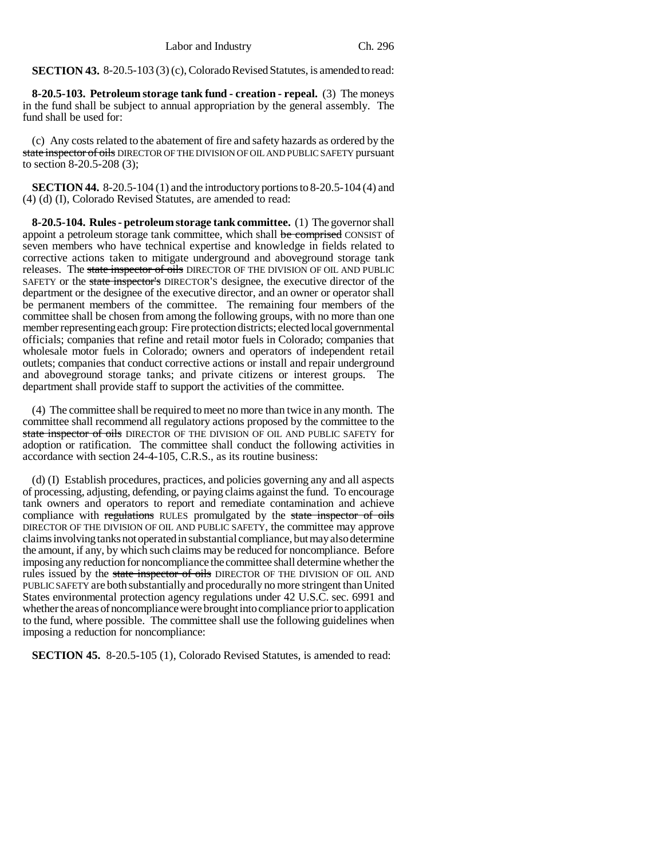**SECTION 43.** 8-20.5-103 (3) (c), Colorado Revised Statutes, is amended to read:

**8-20.5-103. Petroleum storage tank fund - creation - repeal.** (3) The moneys in the fund shall be subject to annual appropriation by the general assembly. The fund shall be used for:

(c) Any costs related to the abatement of fire and safety hazards as ordered by the state inspector of oils DIRECTOR OF THE DIVISION OF OIL AND PUBLIC SAFETY pursuant to section 8-20.5-208 (3);

**SECTION 44.** 8-20.5-104 (1) and the introductory portions to 8-20.5-104 (4) and (4) (d) (I), Colorado Revised Statutes, are amended to read:

**8-20.5-104. Rules - petroleum storage tank committee.** (1) The governor shall appoint a petroleum storage tank committee, which shall be comprised CONSIST of seven members who have technical expertise and knowledge in fields related to corrective actions taken to mitigate underground and aboveground storage tank releases. The state inspector of oils DIRECTOR OF THE DIVISION OF OIL AND PUBLIC SAFETY or the state inspector's DIRECTOR'S designee, the executive director of the department or the designee of the executive director, and an owner or operator shall be permanent members of the committee. The remaining four members of the committee shall be chosen from among the following groups, with no more than one member representing each group: Fire protection districts; elected local governmental officials; companies that refine and retail motor fuels in Colorado; companies that wholesale motor fuels in Colorado; owners and operators of independent retail outlets; companies that conduct corrective actions or install and repair underground and aboveground storage tanks; and private citizens or interest groups. The department shall provide staff to support the activities of the committee.

(4) The committee shall be required to meet no more than twice in any month. The committee shall recommend all regulatory actions proposed by the committee to the state inspector of oils DIRECTOR OF THE DIVISION OF OIL AND PUBLIC SAFETY for adoption or ratification. The committee shall conduct the following activities in accordance with section 24-4-105, C.R.S., as its routine business:

(d) (I) Establish procedures, practices, and policies governing any and all aspects of processing, adjusting, defending, or paying claims against the fund. To encourage tank owners and operators to report and remediate contamination and achieve compliance with regulations RULES promulgated by the state inspector of oils DIRECTOR OF THE DIVISION OF OIL AND PUBLIC SAFETY, the committee may approve claims involving tanks not operated in substantial compliance, but may also determine the amount, if any, by which such claims may be reduced for noncompliance. Before imposing any reduction for noncompliance the committee shall determine whether the rules issued by the state inspector of oils DIRECTOR OF THE DIVISION OF OIL AND PUBLIC SAFETY are both substantially and procedurally no more stringent than United States environmental protection agency regulations under 42 U.S.C. sec. 6991 and whether the areas of noncompliance were brought into compliance prior to application to the fund, where possible. The committee shall use the following guidelines when imposing a reduction for noncompliance:

**SECTION 45.** 8-20.5-105 (1), Colorado Revised Statutes, is amended to read: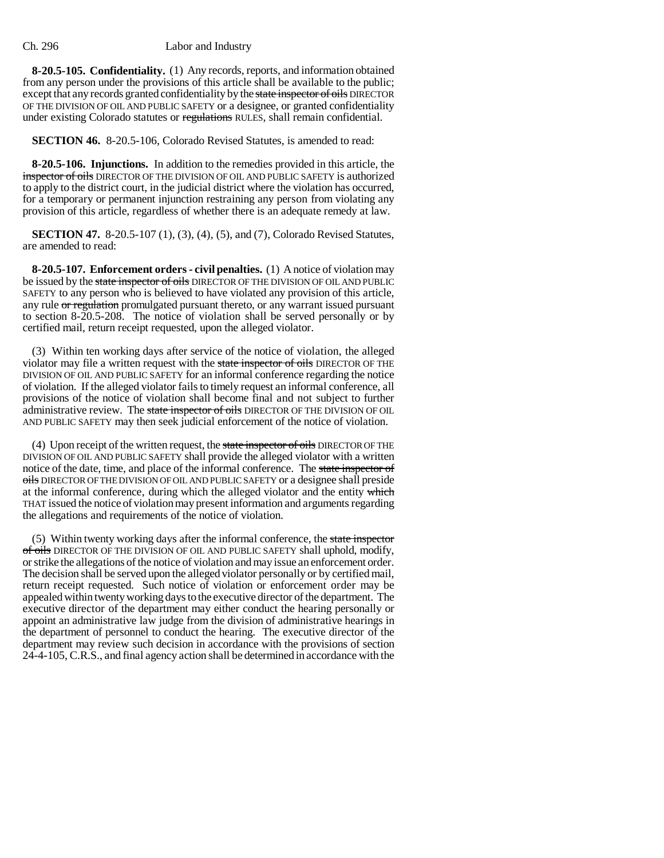**8-20.5-105. Confidentiality.** (1) Any records, reports, and information obtained from any person under the provisions of this article shall be available to the public; except that any records granted confidentiality by the state inspector of oils DIRECTOR OF THE DIVISION OF OIL AND PUBLIC SAFETY or a designee, or granted confidentiality under existing Colorado statutes or regulations RULES, shall remain confidential.

**SECTION 46.** 8-20.5-106, Colorado Revised Statutes, is amended to read:

**8-20.5-106. Injunctions.** In addition to the remedies provided in this article, the inspector of oils DIRECTOR OF THE DIVISION OF OIL AND PUBLIC SAFETY is authorized to apply to the district court, in the judicial district where the violation has occurred, for a temporary or permanent injunction restraining any person from violating any provision of this article, regardless of whether there is an adequate remedy at law.

**SECTION 47.** 8-20.5-107 (1), (3), (4), (5), and (7), Colorado Revised Statutes, are amended to read:

**8-20.5-107. Enforcement orders - civil penalties.** (1) A notice of violation may be issued by the state inspector of oils DIRECTOR OF THE DIVISION OF OIL AND PUBLIC SAFETY to any person who is believed to have violated any provision of this article, any rule or regulation promulgated pursuant thereto, or any warrant issued pursuant to section 8-20.5-208. The notice of violation shall be served personally or by certified mail, return receipt requested, upon the alleged violator.

(3) Within ten working days after service of the notice of violation, the alleged violator may file a written request with the state inspector of oils DIRECTOR OF THE DIVISION OF OIL AND PUBLIC SAFETY for an informal conference regarding the notice of violation. If the alleged violator fails to timely request an informal conference, all provisions of the notice of violation shall become final and not subject to further administrative review. The state inspector of oils DIRECTOR OF THE DIVISION OF OIL AND PUBLIC SAFETY may then seek judicial enforcement of the notice of violation.

(4) Upon receipt of the written request, the state inspector of oils DIRECTOR OF THE DIVISION OF OIL AND PUBLIC SAFETY shall provide the alleged violator with a written notice of the date, time, and place of the informal conference. The state inspector of oils DIRECTOR OF THE DIVISION OF OIL AND PUBLIC SAFETY or a designee shall preside at the informal conference, during which the alleged violator and the entity which THAT issued the notice of violation may present information and arguments regarding the allegations and requirements of the notice of violation.

(5) Within twenty working days after the informal conference, the state inspector of oils DIRECTOR OF THE DIVISION OF OIL AND PUBLIC SAFETY shall uphold, modify, or strike the allegations of the notice of violation and may issue an enforcement order. The decision shall be served upon the alleged violator personally or by certified mail, return receipt requested. Such notice of violation or enforcement order may be appealed within twenty working days to the executive director of the department. The executive director of the department may either conduct the hearing personally or appoint an administrative law judge from the division of administrative hearings in the department of personnel to conduct the hearing. The executive director of the department may review such decision in accordance with the provisions of section 24-4-105, C.R.S., and final agency action shall be determined in accordance with the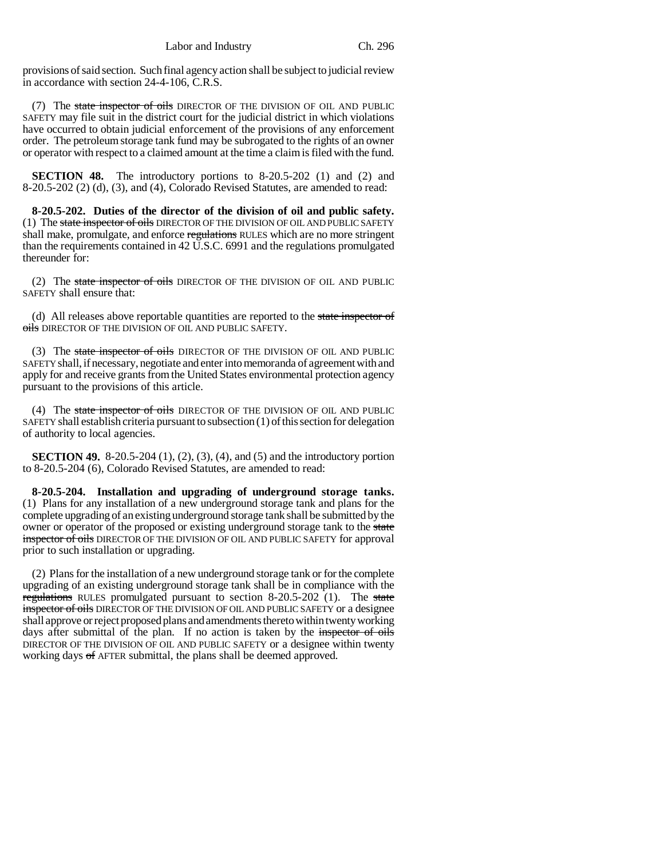provisions of said section. Such final agency action shall be subject to judicial review in accordance with section 24-4-106, C.R.S.

(7) The state inspector of oils DIRECTOR OF THE DIVISION OF OIL AND PUBLIC SAFETY may file suit in the district court for the judicial district in which violations have occurred to obtain judicial enforcement of the provisions of any enforcement order. The petroleum storage tank fund may be subrogated to the rights of an owner or operator with respect to a claimed amount at the time a claim is filed with the fund.

**SECTION 48.** The introductory portions to 8-20.5-202 (1) and (2) and 8-20.5-202 (2) (d), (3), and (4), Colorado Revised Statutes, are amended to read:

**8-20.5-202. Duties of the director of the division of oil and public safety.** (1) The state inspector of oils DIRECTOR OF THE DIVISION OF OIL AND PUBLIC SAFETY shall make, promulgate, and enforce regulations RULES which are no more stringent than the requirements contained in 42 U.S.C. 6991 and the regulations promulgated thereunder for:

(2) The state inspector of oils DIRECTOR OF THE DIVISION OF OIL AND PUBLIC SAFETY shall ensure that:

(d) All releases above reportable quantities are reported to the state inspector of oils DIRECTOR OF THE DIVISION OF OIL AND PUBLIC SAFETY.

(3) The state inspector of oils DIRECTOR OF THE DIVISION OF OIL AND PUBLIC SAFETY shall, if necessary, negotiate and enter into memoranda of agreement with and apply for and receive grants from the United States environmental protection agency pursuant to the provisions of this article.

(4) The state inspector of oils DIRECTOR OF THE DIVISION OF OIL AND PUBLIC SAFETY shall establish criteria pursuant to subsection (1) of this section for delegation of authority to local agencies.

**SECTION 49.** 8-20.5-204 (1), (2), (3), (4), and (5) and the introductory portion to 8-20.5-204 (6), Colorado Revised Statutes, are amended to read:

**8-20.5-204. Installation and upgrading of underground storage tanks.** (1) Plans for any installation of a new underground storage tank and plans for the complete upgrading of an existing underground storage tank shall be submitted by the owner or operator of the proposed or existing underground storage tank to the state inspector of oils DIRECTOR OF THE DIVISION OF OIL AND PUBLIC SAFETY for approval prior to such installation or upgrading.

(2) Plans for the installation of a new underground storage tank or for the complete upgrading of an existing underground storage tank shall be in compliance with the regulations RULES promulgated pursuant to section 8-20.5-202 (1). The state inspector of oils DIRECTOR OF THE DIVISION OF OIL AND PUBLIC SAFETY or a designee shall approve or reject proposed plans and amendments thereto within twenty working days after submittal of the plan. If no action is taken by the inspector of oils DIRECTOR OF THE DIVISION OF OIL AND PUBLIC SAFETY or a designee within twenty working days of AFTER submittal, the plans shall be deemed approved.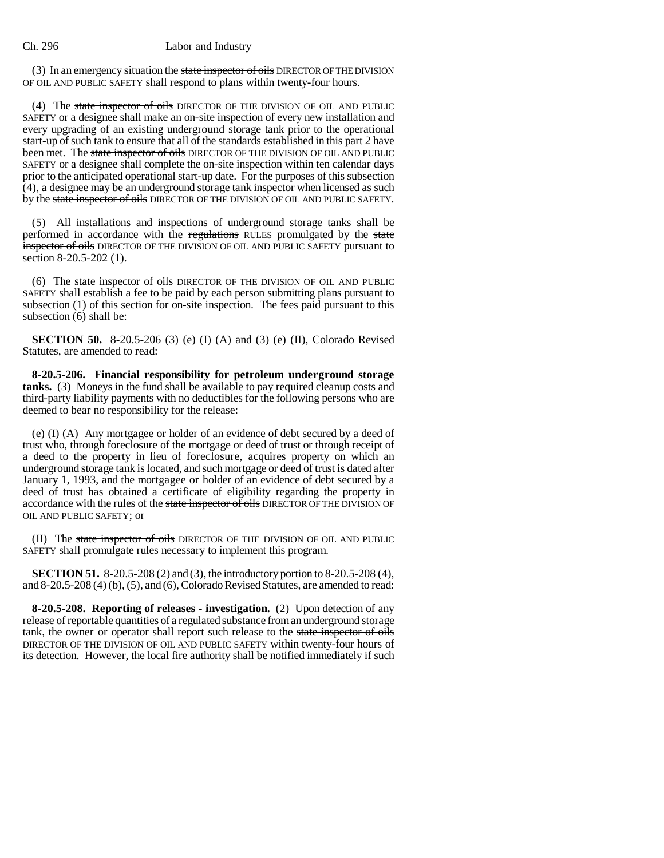(3) In an emergency situation the state inspector of oils DIRECTOR OF THE DIVISION OF OIL AND PUBLIC SAFETY shall respond to plans within twenty-four hours.

(4) The state inspector of oils DIRECTOR OF THE DIVISION OF OIL AND PUBLIC SAFETY or a designee shall make an on-site inspection of every new installation and every upgrading of an existing underground storage tank prior to the operational start-up of such tank to ensure that all of the standards established in this part 2 have been met. The state inspector of oils DIRECTOR OF THE DIVISION OF OIL AND PUBLIC SAFETY or a designee shall complete the on-site inspection within ten calendar days prior to the anticipated operational start-up date. For the purposes of this subsection (4), a designee may be an underground storage tank inspector when licensed as such by the state inspector of oils DIRECTOR OF THE DIVISION OF OIL AND PUBLIC SAFETY.

(5) All installations and inspections of underground storage tanks shall be performed in accordance with the regulations RULES promulgated by the state inspector of oils DIRECTOR OF THE DIVISION OF OIL AND PUBLIC SAFETY pursuant to section 8-20.5-202 (1).

(6) The state inspector of oils DIRECTOR OF THE DIVISION OF OIL AND PUBLIC SAFETY shall establish a fee to be paid by each person submitting plans pursuant to subsection (1) of this section for on-site inspection. The fees paid pursuant to this subsection (6) shall be:

**SECTION 50.** 8-20.5-206 (3) (e) (I) (A) and (3) (e) (II), Colorado Revised Statutes, are amended to read:

**8-20.5-206. Financial responsibility for petroleum underground storage tanks.** (3) Moneys in the fund shall be available to pay required cleanup costs and third-party liability payments with no deductibles for the following persons who are deemed to bear no responsibility for the release:

(e) (I) (A) Any mortgagee or holder of an evidence of debt secured by a deed of trust who, through foreclosure of the mortgage or deed of trust or through receipt of a deed to the property in lieu of foreclosure, acquires property on which an underground storage tank is located, and such mortgage or deed of trust is dated after January 1, 1993, and the mortgagee or holder of an evidence of debt secured by a deed of trust has obtained a certificate of eligibility regarding the property in accordance with the rules of the state inspector of oils DIRECTOR OF THE DIVISION OF OIL AND PUBLIC SAFETY; or

(II) The state inspector of oils DIRECTOR OF THE DIVISION OF OIL AND PUBLIC SAFETY shall promulgate rules necessary to implement this program.

**SECTION 51.** 8-20.5-208 (2) and (3), the introductory portion to 8-20.5-208 (4), and 8-20.5-208 (4) (b), (5), and (6), Colorado Revised Statutes, are amended to read:

**8-20.5-208. Reporting of releases - investigation.** (2) Upon detection of any release of reportable quantities of a regulated substance from an underground storage tank, the owner or operator shall report such release to the state inspector of oils DIRECTOR OF THE DIVISION OF OIL AND PUBLIC SAFETY within twenty-four hours of its detection. However, the local fire authority shall be notified immediately if such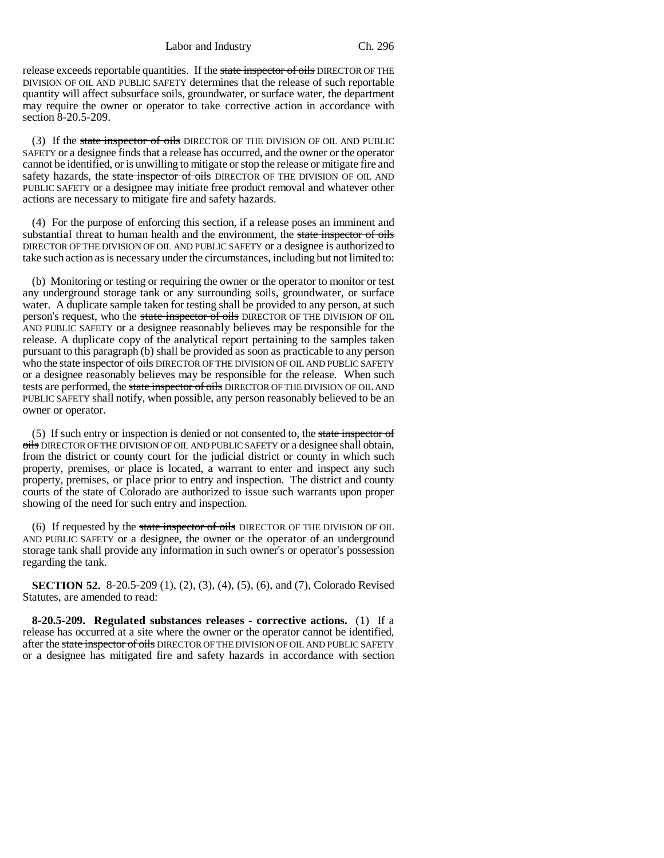release exceeds reportable quantities. If the state inspector of oils DIRECTOR OF THE DIVISION OF OIL AND PUBLIC SAFETY determines that the release of such reportable quantity will affect subsurface soils, groundwater, or surface water, the department may require the owner or operator to take corrective action in accordance with section 8-20.5-209.

(3) If the state inspector of oils DIRECTOR OF THE DIVISION OF OIL AND PUBLIC SAFETY or a designee finds that a release has occurred, and the owner or the operator cannot be identified, or is unwilling to mitigate or stop the release or mitigate fire and safety hazards, the state inspector of oils DIRECTOR OF THE DIVISION OF OIL AND PUBLIC SAFETY or a designee may initiate free product removal and whatever other actions are necessary to mitigate fire and safety hazards.

(4) For the purpose of enforcing this section, if a release poses an imminent and substantial threat to human health and the environment, the state inspector of oils DIRECTOR OF THE DIVISION OF OIL AND PUBLIC SAFETY or a designee is authorized to take such action as is necessary under the circumstances, including but not limited to:

(b) Monitoring or testing or requiring the owner or the operator to monitor or test any underground storage tank or any surrounding soils, groundwater, or surface water. A duplicate sample taken for testing shall be provided to any person, at such person's request, who the state inspector of oils DIRECTOR OF THE DIVISION OF OIL AND PUBLIC SAFETY or a designee reasonably believes may be responsible for the release. A duplicate copy of the analytical report pertaining to the samples taken pursuant to this paragraph (b) shall be provided as soon as practicable to any person who the state inspector of oils DIRECTOR OF THE DIVISION OF OIL AND PUBLIC SAFETY or a designee reasonably believes may be responsible for the release. When such tests are performed, the state inspector of oils DIRECTOR OF THE DIVISION OF OIL AND PUBLIC SAFETY shall notify, when possible, any person reasonably believed to be an owner or operator.

(5) If such entry or inspection is denied or not consented to, the state inspector of oils DIRECTOR OF THE DIVISION OF OIL AND PUBLIC SAFETY or a designee shall obtain, from the district or county court for the judicial district or county in which such property, premises, or place is located, a warrant to enter and inspect any such property, premises, or place prior to entry and inspection. The district and county courts of the state of Colorado are authorized to issue such warrants upon proper showing of the need for such entry and inspection.

(6) If requested by the state inspector of oils DIRECTOR OF THE DIVISION OF OIL AND PUBLIC SAFETY or a designee, the owner or the operator of an underground storage tank shall provide any information in such owner's or operator's possession regarding the tank.

**SECTION 52.** 8-20.5-209 (1), (2), (3), (4), (5), (6), and (7), Colorado Revised Statutes, are amended to read:

**8-20.5-209. Regulated substances releases - corrective actions.** (1) If a release has occurred at a site where the owner or the operator cannot be identified, after the state inspector of oils DIRECTOR OF THE DIVISION OF OIL AND PUBLIC SAFETY or a designee has mitigated fire and safety hazards in accordance with section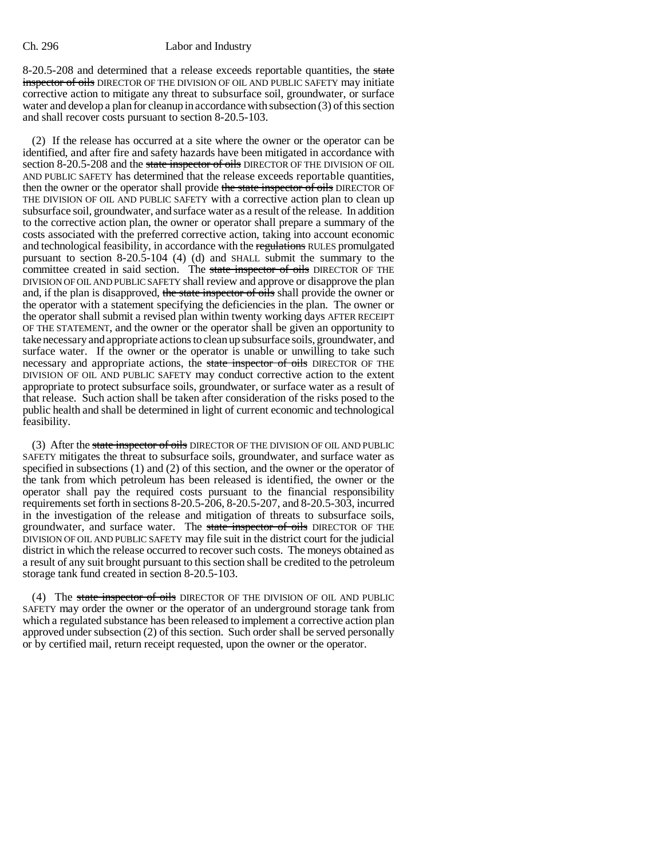8-20.5-208 and determined that a release exceeds reportable quantities, the state inspector of oils DIRECTOR OF THE DIVISION OF OIL AND PUBLIC SAFETY may initiate corrective action to mitigate any threat to subsurface soil, groundwater, or surface water and develop a plan for cleanup in accordance with subsection (3) of this section and shall recover costs pursuant to section 8-20.5-103.

(2) If the release has occurred at a site where the owner or the operator can be identified, and after fire and safety hazards have been mitigated in accordance with section 8-20.5-208 and the state inspector of oils DIRECTOR OF THE DIVISION OF OIL AND PUBLIC SAFETY has determined that the release exceeds reportable quantities, then the owner or the operator shall provide the state inspector of oils DIRECTOR OF THE DIVISION OF OIL AND PUBLIC SAFETY with a corrective action plan to clean up subsurface soil, groundwater, and surface water as a result of the release. In addition to the corrective action plan, the owner or operator shall prepare a summary of the costs associated with the preferred corrective action, taking into account economic and technological feasibility, in accordance with the regulations RULES promulgated pursuant to section 8-20.5-104 (4) (d) and SHALL submit the summary to the committee created in said section. The state inspector of oils DIRECTOR OF THE DIVISION OF OIL AND PUBLIC SAFETY shall review and approve or disapprove the plan and, if the plan is disapproved, the state inspector of oils shall provide the owner or the operator with a statement specifying the deficiencies in the plan. The owner or the operator shall submit a revised plan within twenty working days AFTER RECEIPT OF THE STATEMENT, and the owner or the operator shall be given an opportunity to take necessary and appropriate actions to clean up subsurface soils, groundwater, and surface water. If the owner or the operator is unable or unwilling to take such necessary and appropriate actions, the state inspector of oils DIRECTOR OF THE DIVISION OF OIL AND PUBLIC SAFETY may conduct corrective action to the extent appropriate to protect subsurface soils, groundwater, or surface water as a result of that release. Such action shall be taken after consideration of the risks posed to the public health and shall be determined in light of current economic and technological feasibility.

(3) After the state inspector of oils DIRECTOR OF THE DIVISION OF OIL AND PUBLIC SAFETY mitigates the threat to subsurface soils, groundwater, and surface water as specified in subsections (1) and (2) of this section, and the owner or the operator of the tank from which petroleum has been released is identified, the owner or the operator shall pay the required costs pursuant to the financial responsibility requirements set forth in sections 8-20.5-206, 8-20.5-207, and 8-20.5-303, incurred in the investigation of the release and mitigation of threats to subsurface soils, groundwater, and surface water. The state inspector of oils DIRECTOR OF THE DIVISION OF OIL AND PUBLIC SAFETY may file suit in the district court for the judicial district in which the release occurred to recover such costs. The moneys obtained as a result of any suit brought pursuant to this section shall be credited to the petroleum storage tank fund created in section 8-20.5-103.

(4) The state inspector of oils DIRECTOR OF THE DIVISION OF OIL AND PUBLIC SAFETY may order the owner or the operator of an underground storage tank from which a regulated substance has been released to implement a corrective action plan approved under subsection (2) of this section. Such order shall be served personally or by certified mail, return receipt requested, upon the owner or the operator.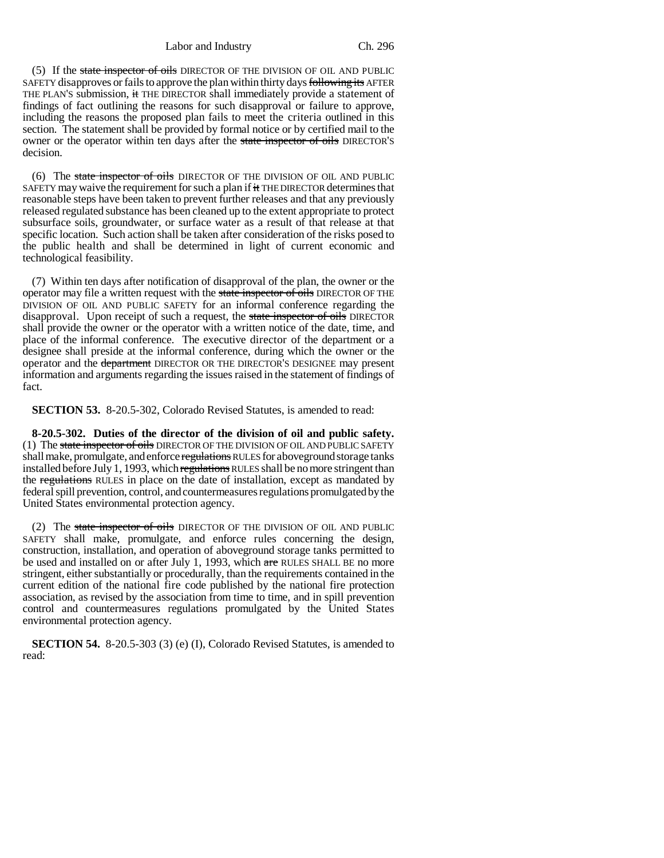(5) If the state inspector of oils DIRECTOR OF THE DIVISION OF OIL AND PUBLIC SAFETY disapproves or fails to approve the plan within thirty days following its AFTER THE PLAN'S submission, it THE DIRECTOR shall immediately provide a statement of findings of fact outlining the reasons for such disapproval or failure to approve, including the reasons the proposed plan fails to meet the criteria outlined in this section. The statement shall be provided by formal notice or by certified mail to the owner or the operator within ten days after the state inspector of oils DIRECTOR'S decision.

(6) The state inspector of oils DIRECTOR OF THE DIVISION OF OIL AND PUBLIC SAFETY may waive the requirement for such a plan if it THE DIRECTOR determines that reasonable steps have been taken to prevent further releases and that any previously released regulated substance has been cleaned up to the extent appropriate to protect subsurface soils, groundwater, or surface water as a result of that release at that specific location. Such action shall be taken after consideration of the risks posed to the public health and shall be determined in light of current economic and technological feasibility.

(7) Within ten days after notification of disapproval of the plan, the owner or the operator may file a written request with the state inspector of oils DIRECTOR OF THE DIVISION OF OIL AND PUBLIC SAFETY for an informal conference regarding the disapproval. Upon receipt of such a request, the state inspector of oils DIRECTOR shall provide the owner or the operator with a written notice of the date, time, and place of the informal conference. The executive director of the department or a designee shall preside at the informal conference, during which the owner or the operator and the department DIRECTOR OR THE DIRECTOR'S DESIGNEE may present information and arguments regarding the issues raised in the statement of findings of fact.

**SECTION 53.** 8-20.5-302, Colorado Revised Statutes, is amended to read:

**8-20.5-302. Duties of the director of the division of oil and public safety.** (1) The state inspector of oils DIRECTOR OF THE DIVISION OF OIL AND PUBLIC SAFETY shall make, promulgate, and enforce regulations RULES for above ground storage tanks installed before July 1, 1993, which regulations RULES shall be no more stringent than the regulations RULES in place on the date of installation, except as mandated by federal spill prevention, control, and countermeasures regulations promulgated by the United States environmental protection agency.

(2) The state inspector of oils DIRECTOR OF THE DIVISION OF OIL AND PUBLIC SAFETY shall make, promulgate, and enforce rules concerning the design, construction, installation, and operation of aboveground storage tanks permitted to be used and installed on or after July 1, 1993, which are RULES SHALL BE no more stringent, either substantially or procedurally, than the requirements contained in the current edition of the national fire code published by the national fire protection association, as revised by the association from time to time, and in spill prevention control and countermeasures regulations promulgated by the United States environmental protection agency.

**SECTION 54.** 8-20.5-303 (3) (e) (I), Colorado Revised Statutes, is amended to read: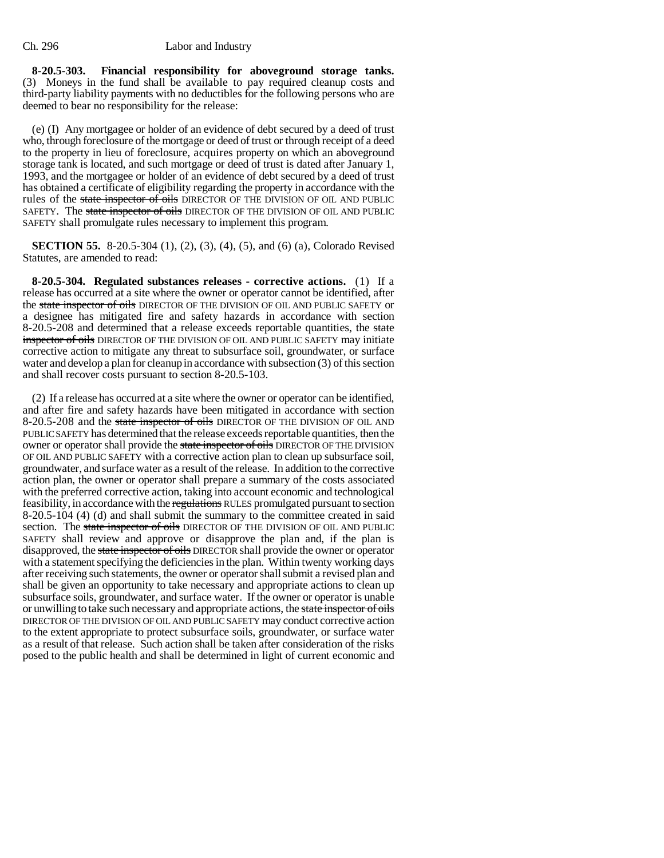**8-20.5-303. Financial responsibility for aboveground storage tanks.** (3) Moneys in the fund shall be available to pay required cleanup costs and third-party liability payments with no deductibles for the following persons who are deemed to bear no responsibility for the release:

(e) (I) Any mortgagee or holder of an evidence of debt secured by a deed of trust who, through foreclosure of the mortgage or deed of trust or through receipt of a deed to the property in lieu of foreclosure, acquires property on which an aboveground storage tank is located, and such mortgage or deed of trust is dated after January 1, 1993, and the mortgagee or holder of an evidence of debt secured by a deed of trust has obtained a certificate of eligibility regarding the property in accordance with the rules of the state inspector of oils DIRECTOR OF THE DIVISION OF OIL AND PUBLIC SAFETY. The state inspector of oils DIRECTOR OF THE DIVISION OF OIL AND PUBLIC SAFETY shall promulgate rules necessary to implement this program.

**SECTION 55.** 8-20.5-304 (1), (2), (3), (4), (5), and (6) (a), Colorado Revised Statutes, are amended to read:

**8-20.5-304. Regulated substances releases - corrective actions.** (1) If a release has occurred at a site where the owner or operator cannot be identified, after the state inspector of oils DIRECTOR OF THE DIVISION OF OIL AND PUBLIC SAFETY or a designee has mitigated fire and safety hazards in accordance with section 8-20.5-208 and determined that a release exceeds reportable quantities, the state inspector of oils DIRECTOR OF THE DIVISION OF OIL AND PUBLIC SAFETY may initiate corrective action to mitigate any threat to subsurface soil, groundwater, or surface water and develop a plan for cleanup in accordance with subsection (3) of this section and shall recover costs pursuant to section 8-20.5-103.

(2) If a release has occurred at a site where the owner or operator can be identified, and after fire and safety hazards have been mitigated in accordance with section 8-20.5-208 and the state inspector of oils DIRECTOR OF THE DIVISION OF OIL AND PUBLIC SAFETY has determined that the release exceeds reportable quantities, then the owner or operator shall provide the state inspector of oils DIRECTOR OF THE DIVISION OF OIL AND PUBLIC SAFETY with a corrective action plan to clean up subsurface soil, groundwater, and surface water as a result of the release. In addition to the corrective action plan, the owner or operator shall prepare a summary of the costs associated with the preferred corrective action, taking into account economic and technological feasibility, in accordance with the regulations RULES promulgated pursuant to section 8-20.5-104 (4) (d) and shall submit the summary to the committee created in said section. The state inspector of oils DIRECTOR OF THE DIVISION OF OIL AND PUBLIC SAFETY shall review and approve or disapprove the plan and, if the plan is disapproved, the state inspector of oils DIRECTOR shall provide the owner or operator with a statement specifying the deficiencies in the plan. Within twenty working days after receiving such statements, the owner or operator shall submit a revised plan and shall be given an opportunity to take necessary and appropriate actions to clean up subsurface soils, groundwater, and surface water. If the owner or operator is unable or unwilling to take such necessary and appropriate actions, the state inspector of oils DIRECTOR OF THE DIVISION OF OIL AND PUBLIC SAFETY may conduct corrective action to the extent appropriate to protect subsurface soils, groundwater, or surface water as a result of that release. Such action shall be taken after consideration of the risks posed to the public health and shall be determined in light of current economic and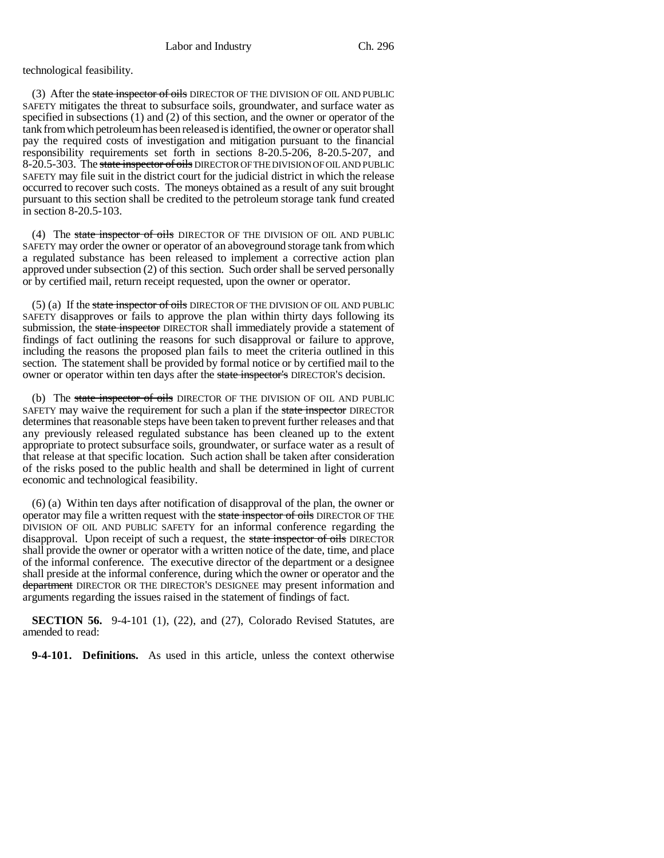technological feasibility.

(3) After the state inspector of oils DIRECTOR OF THE DIVISION OF OIL AND PUBLIC SAFETY mitigates the threat to subsurface soils, groundwater, and surface water as specified in subsections (1) and (2) of this section, and the owner or operator of the tank from which petroleum has been released is identified, the owner or operator shall pay the required costs of investigation and mitigation pursuant to the financial responsibility requirements set forth in sections 8-20.5-206, 8-20.5-207, and 8-20.5-303. The state inspector of oils DIRECTOR OF THE DIVISION OF OIL AND PUBLIC SAFETY may file suit in the district court for the judicial district in which the release occurred to recover such costs. The moneys obtained as a result of any suit brought pursuant to this section shall be credited to the petroleum storage tank fund created in section 8-20.5-103.

(4) The state inspector of oils DIRECTOR OF THE DIVISION OF OIL AND PUBLIC SAFETY may order the owner or operator of an aboveground storage tank from which a regulated substance has been released to implement a corrective action plan approved under subsection (2) of this section. Such order shall be served personally or by certified mail, return receipt requested, upon the owner or operator.

(5) (a) If the state inspector of oils DIRECTOR OF THE DIVISION OF OIL AND PUBLIC SAFETY disapproves or fails to approve the plan within thirty days following its submission, the state inspector DIRECTOR shall immediately provide a statement of findings of fact outlining the reasons for such disapproval or failure to approve, including the reasons the proposed plan fails to meet the criteria outlined in this section. The statement shall be provided by formal notice or by certified mail to the owner or operator within ten days after the state inspector's DIRECTOR'S decision.

(b) The state inspector of oils DIRECTOR OF THE DIVISION OF OIL AND PUBLIC SAFETY may waive the requirement for such a plan if the state inspector DIRECTOR determines that reasonable steps have been taken to prevent further releases and that any previously released regulated substance has been cleaned up to the extent appropriate to protect subsurface soils, groundwater, or surface water as a result of that release at that specific location. Such action shall be taken after consideration of the risks posed to the public health and shall be determined in light of current economic and technological feasibility.

(6) (a) Within ten days after notification of disapproval of the plan, the owner or operator may file a written request with the state inspector of oils DIRECTOR OF THE DIVISION OF OIL AND PUBLIC SAFETY for an informal conference regarding the disapproval. Upon receipt of such a request, the state inspector of oils DIRECTOR shall provide the owner or operator with a written notice of the date, time, and place of the informal conference. The executive director of the department or a designee shall preside at the informal conference, during which the owner or operator and the department DIRECTOR OR THE DIRECTOR'S DESIGNEE may present information and arguments regarding the issues raised in the statement of findings of fact.

**SECTION 56.** 9-4-101 (1), (22), and (27), Colorado Revised Statutes, are amended to read:

**9-4-101. Definitions.** As used in this article, unless the context otherwise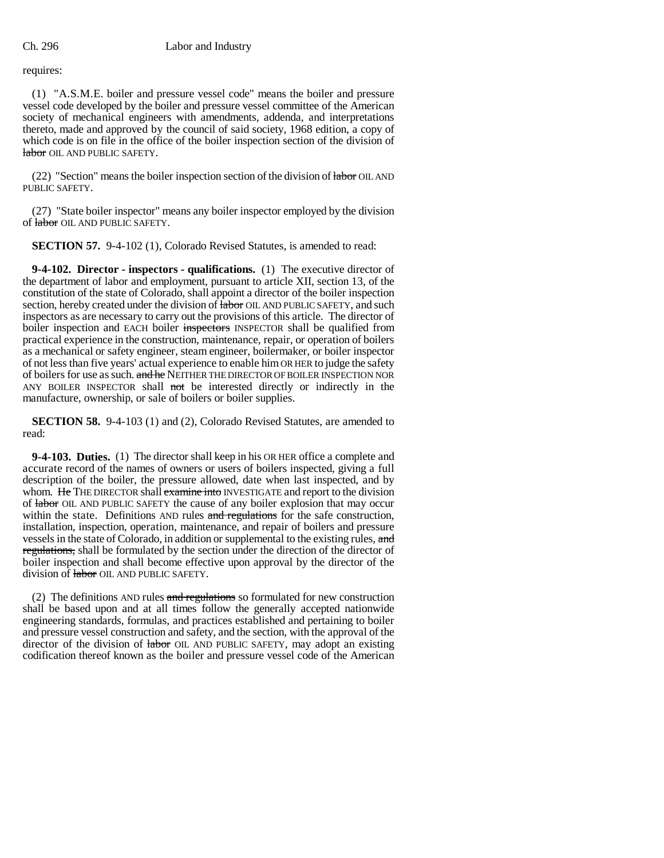requires:

(1) "A.S.M.E. boiler and pressure vessel code" means the boiler and pressure vessel code developed by the boiler and pressure vessel committee of the American society of mechanical engineers with amendments, addenda, and interpretations thereto, made and approved by the council of said society, 1968 edition, a copy of which code is on file in the office of the boiler inspection section of the division of labor OIL AND PUBLIC SAFETY.

(22) "Section" means the boiler inspection section of the division of labor OIL AND PUBLIC SAFETY.

(27) "State boiler inspector" means any boiler inspector employed by the division of labor OIL AND PUBLIC SAFETY.

**SECTION 57.** 9-4-102 (1), Colorado Revised Statutes, is amended to read:

**9-4-102. Director - inspectors - qualifications.** (1) The executive director of the department of labor and employment, pursuant to article XII, section 13, of the constitution of the state of Colorado, shall appoint a director of the boiler inspection section, hereby created under the division of labor OIL AND PUBLIC SAFETY, and such inspectors as are necessary to carry out the provisions of this article. The director of boiler inspection and EACH boiler inspectors INSPECTOR shall be qualified from practical experience in the construction, maintenance, repair, or operation of boilers as a mechanical or safety engineer, steam engineer, boilermaker, or boiler inspector of not less than five years' actual experience to enable him OR HER to judge the safety of boilers for use as such. and he NEITHER THE DIRECTOR OF BOILER INSPECTION NOR ANY BOILER INSPECTOR shall not be interested directly or indirectly in the manufacture, ownership, or sale of boilers or boiler supplies.

**SECTION 58.** 9-4-103 (1) and (2), Colorado Revised Statutes, are amended to read:

**9-4-103. Duties.** (1) The director shall keep in his OR HER office a complete and accurate record of the names of owners or users of boilers inspected, giving a full description of the boiler, the pressure allowed, date when last inspected, and by whom. He THE DIRECTOR shall examine into INVESTIGATE and report to the division of labor OIL AND PUBLIC SAFETY the cause of any boiler explosion that may occur within the state. Definitions AND rules and regulations for the safe construction, installation, inspection, operation, maintenance, and repair of boilers and pressure vessels in the state of Colorado, in addition or supplemental to the existing rules, and regulations, shall be formulated by the section under the direction of the director of boiler inspection and shall become effective upon approval by the director of the division of labor OIL AND PUBLIC SAFETY.

(2) The definitions AND rules  $\frac{1}{x}$  and regulations so formulated for new construction shall be based upon and at all times follow the generally accepted nationwide engineering standards, formulas, and practices established and pertaining to boiler and pressure vessel construction and safety, and the section, with the approval of the director of the division of labor OIL AND PUBLIC SAFETY, may adopt an existing codification thereof known as the boiler and pressure vessel code of the American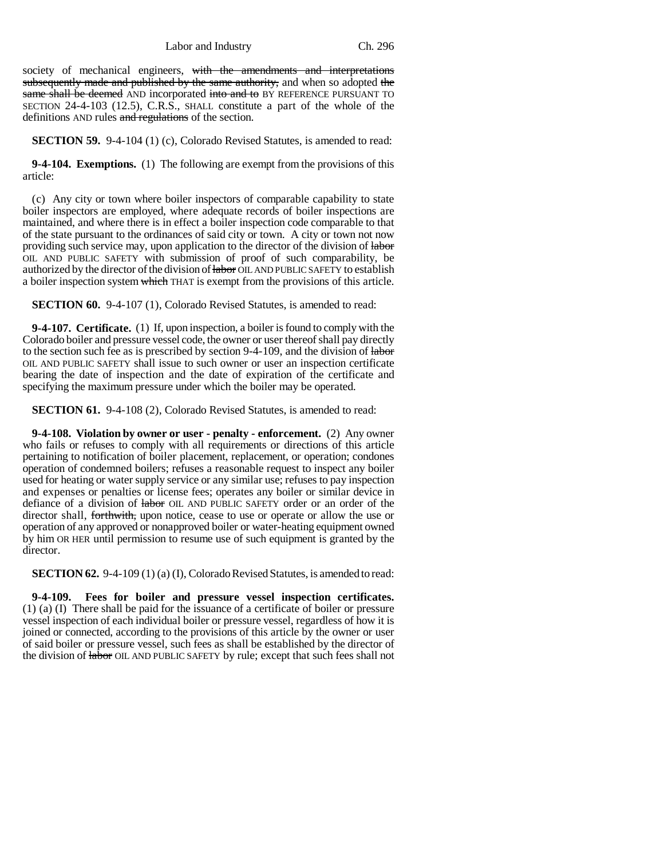society of mechanical engineers, with the amendments and interpretations subsequently made and published by the same authority, and when so adopted the same shall be deemed AND incorporated into and to BY REFERENCE PURSUANT TO SECTION 24-4-103 (12.5), C.R.S., SHALL constitute a part of the whole of the definitions AND rules and regulations of the section.

**SECTION 59.** 9-4-104 (1) (c), Colorado Revised Statutes, is amended to read:

**9-4-104. Exemptions.** (1) The following are exempt from the provisions of this article:

(c) Any city or town where boiler inspectors of comparable capability to state boiler inspectors are employed, where adequate records of boiler inspections are maintained, and where there is in effect a boiler inspection code comparable to that of the state pursuant to the ordinances of said city or town. A city or town not now providing such service may, upon application to the director of the division of labor OIL AND PUBLIC SAFETY with submission of proof of such comparability, be authorized by the director of the division of labor OIL AND PUBLIC SAFETY to establish a boiler inspection system which THAT is exempt from the provisions of this article.

**SECTION 60.** 9-4-107 (1), Colorado Revised Statutes, is amended to read:

**9-4-107. Certificate.** (1) If, upon inspection, a boiler is found to comply with the Colorado boiler and pressure vessel code, the owner or user thereof shall pay directly to the section such fee as is prescribed by section 9-4-109, and the division of labor OIL AND PUBLIC SAFETY shall issue to such owner or user an inspection certificate bearing the date of inspection and the date of expiration of the certificate and specifying the maximum pressure under which the boiler may be operated.

**SECTION 61.** 9-4-108 (2), Colorado Revised Statutes, is amended to read:

**9-4-108. Violation by owner or user - penalty - enforcement.** (2) Any owner who fails or refuses to comply with all requirements or directions of this article pertaining to notification of boiler placement, replacement, or operation; condones operation of condemned boilers; refuses a reasonable request to inspect any boiler used for heating or water supply service or any similar use; refuses to pay inspection and expenses or penalties or license fees; operates any boiler or similar device in defiance of a division of  $\dagger$  abor OIL AND PUBLIC SAFETY order or an order of the director shall, for the with, upon notice, cease to use or operate or allow the use or operation of any approved or nonapproved boiler or water-heating equipment owned by him OR HER until permission to resume use of such equipment is granted by the director.

**SECTION 62.** 9-4-109 (1) (a) (I), Colorado Revised Statutes, is amended to read:

**9-4-109. Fees for boiler and pressure vessel inspection certificates.** (1) (a) (I) There shall be paid for the issuance of a certificate of boiler or pressure vessel inspection of each individual boiler or pressure vessel, regardless of how it is joined or connected, according to the provisions of this article by the owner or user of said boiler or pressure vessel, such fees as shall be established by the director of the division of *labor* OIL AND PUBLIC SAFETY by rule; except that such fees shall not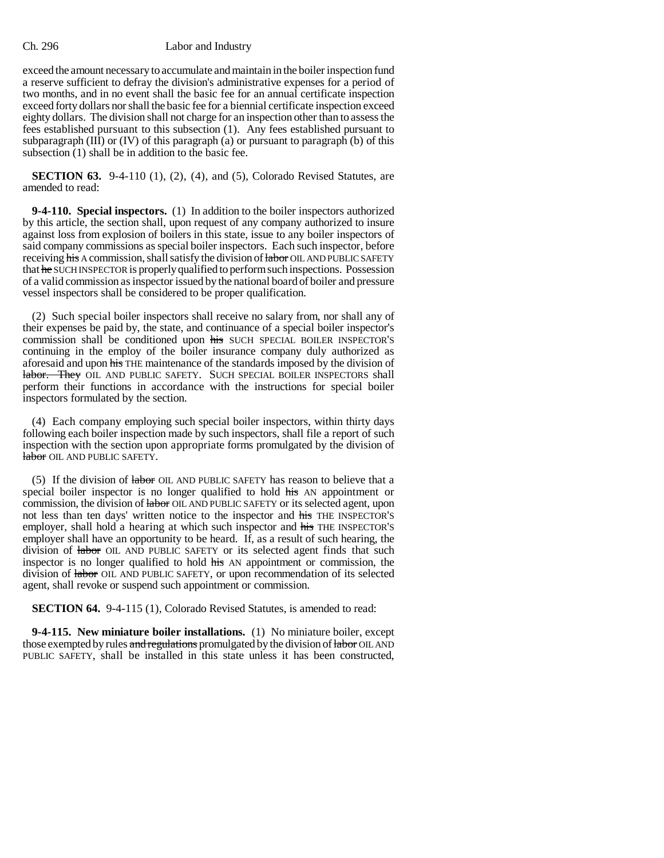exceed the amount necessary to accumulate and maintain in the boiler inspection fund a reserve sufficient to defray the division's administrative expenses for a period of two months, and in no event shall the basic fee for an annual certificate inspection exceed forty dollars nor shall the basic fee for a biennial certificate inspection exceed eighty dollars. The division shall not charge for an inspection other than to assess the fees established pursuant to this subsection (1). Any fees established pursuant to subparagraph (III) or (IV) of this paragraph (a) or pursuant to paragraph (b) of this subsection (1) shall be in addition to the basic fee.

**SECTION 63.** 9-4-110 (1), (2), (4), and (5), Colorado Revised Statutes, are amended to read:

**9-4-110. Special inspectors.** (1) In addition to the boiler inspectors authorized by this article, the section shall, upon request of any company authorized to insure against loss from explosion of boilers in this state, issue to any boiler inspectors of said company commissions as special boiler inspectors. Each such inspector, before receiving his A commission, shall satisfy the division of labor OIL AND PUBLIC SAFETY that he SUCH INSPECTOR is properly qualified to perform such inspections. Possession of a valid commission as inspector issued by the national board of boiler and pressure vessel inspectors shall be considered to be proper qualification.

(2) Such special boiler inspectors shall receive no salary from, nor shall any of their expenses be paid by, the state, and continuance of a special boiler inspector's commission shall be conditioned upon his SUCH SPECIAL BOILER INSPECTOR'S continuing in the employ of the boiler insurance company duly authorized as aforesaid and upon his THE maintenance of the standards imposed by the division of labor. They OIL AND PUBLIC SAFETY. SUCH SPECIAL BOILER INSPECTORS shall perform their functions in accordance with the instructions for special boiler inspectors formulated by the section.

(4) Each company employing such special boiler inspectors, within thirty days following each boiler inspection made by such inspectors, shall file a report of such inspection with the section upon appropriate forms promulgated by the division of labor OIL AND PUBLIC SAFETY.

(5) If the division of  $\frac{1}{4}$  and  $\frac{1}{2}$  and  $\frac{1}{2}$  and  $\frac{1}{2}$  and  $\frac{1}{2}$  are that a  $\frac{1}{2}$  are that a special boiler inspector is no longer qualified to hold his AN appointment or commission, the division of labor OIL AND PUBLIC SAFETY or its selected agent, upon not less than ten days' written notice to the inspector and his THE INSPECTOR'S employer, shall hold a hearing at which such inspector and his THE INSPECTOR'S employer shall have an opportunity to be heard. If, as a result of such hearing, the division of labor OIL AND PUBLIC SAFETY or its selected agent finds that such inspector is no longer qualified to hold his AN appointment or commission, the division of labor OIL AND PUBLIC SAFETY, or upon recommendation of its selected agent, shall revoke or suspend such appointment or commission.

**SECTION 64.** 9-4-115 (1), Colorado Revised Statutes, is amended to read:

**9-4-115. New miniature boiler installations.** (1) No miniature boiler, except those exempted by rules and regulations promulgated by the division of labor OIL AND PUBLIC SAFETY, shall be installed in this state unless it has been constructed,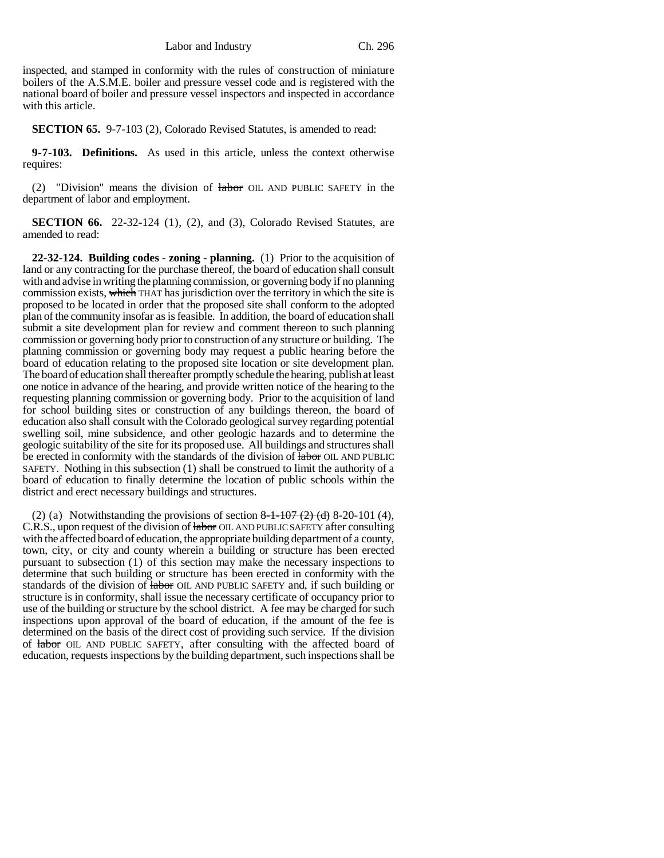inspected, and stamped in conformity with the rules of construction of miniature boilers of the A.S.M.E. boiler and pressure vessel code and is registered with the national board of boiler and pressure vessel inspectors and inspected in accordance with this article.

**SECTION 65.** 9-7-103 (2), Colorado Revised Statutes, is amended to read:

**9-7-103. Definitions.** As used in this article, unless the context otherwise requires:

(2) "Division" means the division of labor OIL AND PUBLIC SAFETY in the department of labor and employment.

**SECTION 66.** 22-32-124 (1), (2), and (3), Colorado Revised Statutes, are amended to read:

**22-32-124. Building codes - zoning - planning.** (1) Prior to the acquisition of land or any contracting for the purchase thereof, the board of education shall consult with and advise in writing the planning commission, or governing body if no planning commission exists, which THAT has jurisdiction over the territory in which the site is proposed to be located in order that the proposed site shall conform to the adopted plan of the community insofar as is feasible. In addition, the board of education shall submit a site development plan for review and comment thereon to such planning commission or governing body prior to construction of any structure or building. The planning commission or governing body may request a public hearing before the board of education relating to the proposed site location or site development plan. The board of education shall thereafter promptly schedule the hearing, publish at least one notice in advance of the hearing, and provide written notice of the hearing to the requesting planning commission or governing body. Prior to the acquisition of land for school building sites or construction of any buildings thereon, the board of education also shall consult with the Colorado geological survey regarding potential swelling soil, mine subsidence, and other geologic hazards and to determine the geologic suitability of the site for its proposed use. All buildings and structures shall be erected in conformity with the standards of the division of  $\frac{1}{4}$  about OIL AND PUBLIC SAFETY. Nothing in this subsection (1) shall be construed to limit the authority of a board of education to finally determine the location of public schools within the district and erect necessary buildings and structures.

(2) (a) Notwithstanding the provisions of section  $8-1-107$  (2) (d)  $8-20-101$  (4), C.R.S., upon request of the division of labor OIL AND PUBLIC SAFETY after consulting with the affected board of education, the appropriate building department of a county, town, city, or city and county wherein a building or structure has been erected pursuant to subsection (1) of this section may make the necessary inspections to determine that such building or structure has been erected in conformity with the standards of the division of labor OIL AND PUBLIC SAFETY and, if such building or structure is in conformity, shall issue the necessary certificate of occupancy prior to use of the building or structure by the school district. A fee may be charged for such inspections upon approval of the board of education, if the amount of the fee is determined on the basis of the direct cost of providing such service. If the division of **labor** OIL AND PUBLIC SAFETY, after consulting with the affected board of education, requests inspections by the building department, such inspections shall be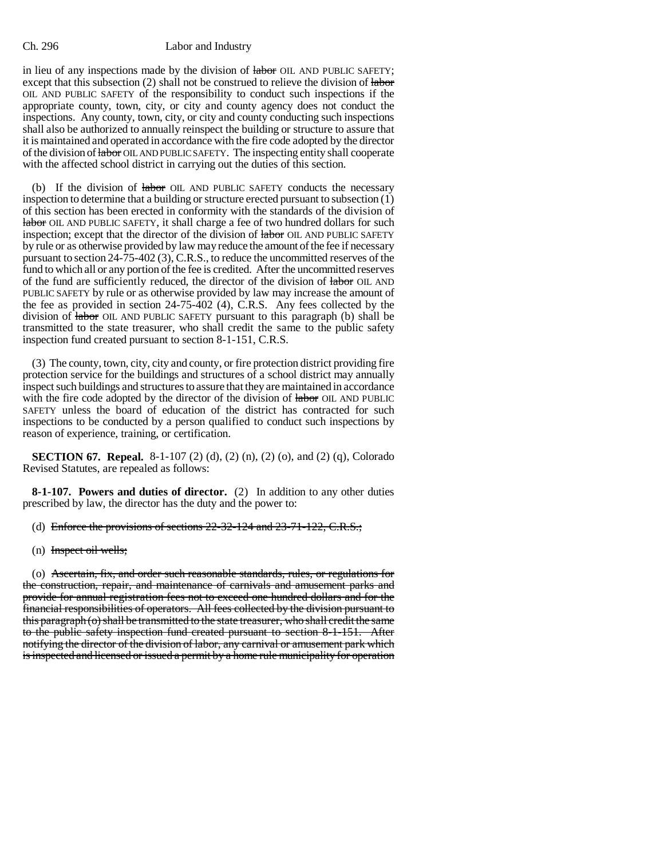in lieu of any inspections made by the division of labor OIL AND PUBLIC SAFETY; except that this subsection (2) shall not be construed to relieve the division of labor OIL AND PUBLIC SAFETY of the responsibility to conduct such inspections if the appropriate county, town, city, or city and county agency does not conduct the inspections. Any county, town, city, or city and county conducting such inspections shall also be authorized to annually reinspect the building or structure to assure that it is maintained and operated in accordance with the fire code adopted by the director of the division of labor OIL AND PUBLIC SAFETY. The inspecting entity shall cooperate with the affected school district in carrying out the duties of this section.

(b) If the division of labor OIL AND PUBLIC SAFETY conducts the necessary inspection to determine that a building or structure erected pursuant to subsection (1) of this section has been erected in conformity with the standards of the division of labor OIL AND PUBLIC SAFETY, it shall charge a fee of two hundred dollars for such inspection; except that the director of the division of labor OIL AND PUBLIC SAFETY by rule or as otherwise provided by law may reduce the amount of the fee if necessary pursuant to section 24-75-402 (3), C.R.S., to reduce the uncommitted reserves of the fund to which all or any portion of the fee is credited. After the uncommitted reserves of the fund are sufficiently reduced, the director of the division of  $\dagger$ **abor** OIL AND PUBLIC SAFETY by rule or as otherwise provided by law may increase the amount of the fee as provided in section 24-75-402 (4), C.R.S. Any fees collected by the division of labor OIL AND PUBLIC SAFETY pursuant to this paragraph (b) shall be transmitted to the state treasurer, who shall credit the same to the public safety inspection fund created pursuant to section 8-1-151, C.R.S.

(3) The county, town, city, city and county, or fire protection district providing fire protection service for the buildings and structures of a school district may annually inspect such buildings and structures to assure that they are maintained in accordance with the fire code adopted by the director of the division of labor OIL AND PUBLIC SAFETY unless the board of education of the district has contracted for such inspections to be conducted by a person qualified to conduct such inspections by reason of experience, training, or certification.

**SECTION 67. Repeal.** 8-1-107 (2) (d), (2) (n), (2) (o), and (2) (q), Colorado Revised Statutes, are repealed as follows:

**8-1-107. Powers and duties of director.** (2) In addition to any other duties prescribed by law, the director has the duty and the power to:

- (d) Enforce the provisions of sections 22-32-124 and 23-71-122, C.R.S.;
- (n) Inspect oil wells;

(o) Ascertain, fix, and order such reasonable standards, rules, or regulations for the construction, repair, and maintenance of carnivals and amusement parks and provide for annual registration fees not to exceed one hundred dollars and for the financial responsibilities of operators. All fees collected by the division pursuant to this paragraph (o) shall be transmitted to the state treasurer, who shall credit the same to the public safety inspection fund created pursuant to section 8-1-151. After notifying the director of the division of labor, any carnival or amusement park which is inspected and licensed or issued a permit by a home rule municipality for operation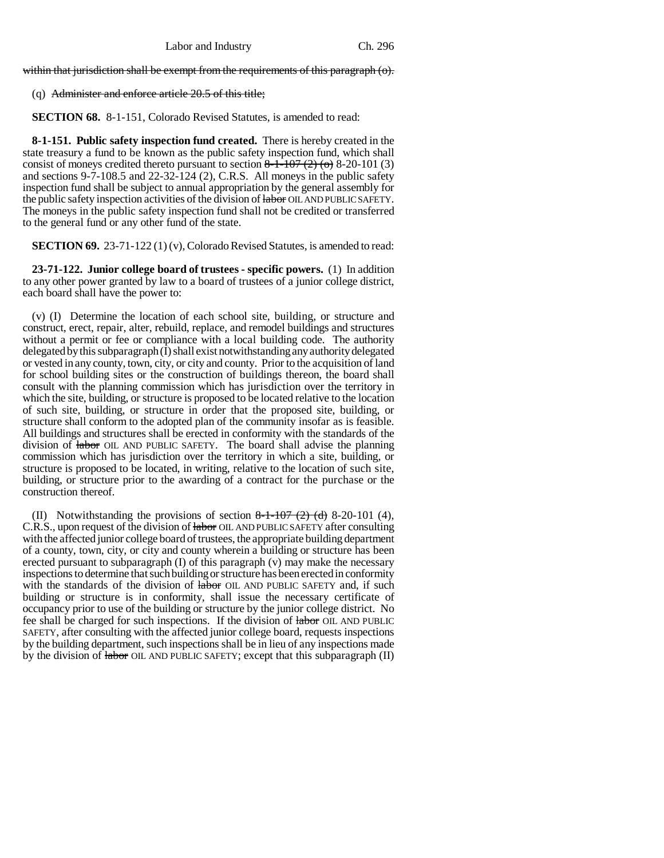within that jurisdiction shall be exempt from the requirements of this paragraph (o).

# (q) Administer and enforce article 20.5 of this title;

**SECTION 68.** 8-1-151, Colorado Revised Statutes, is amended to read:

**8-1-151. Public safety inspection fund created.** There is hereby created in the state treasury a fund to be known as the public safety inspection fund, which shall consist of moneys credited thereto pursuant to section  $8-1-107(2)$  (o) 8-20-101 (3) and sections 9-7-108.5 and 22-32-124 (2), C.R.S. All moneys in the public safety inspection fund shall be subject to annual appropriation by the general assembly for the public safety inspection activities of the division of labor OIL AND PUBLIC SAFETY. The moneys in the public safety inspection fund shall not be credited or transferred to the general fund or any other fund of the state.

**SECTION 69.** 23-71-122 (1) (v), Colorado Revised Statutes, is amended to read:

**23-71-122. Junior college board of trustees - specific powers.** (1) In addition to any other power granted by law to a board of trustees of a junior college district, each board shall have the power to:

(v) (I) Determine the location of each school site, building, or structure and construct, erect, repair, alter, rebuild, replace, and remodel buildings and structures without a permit or fee or compliance with a local building code. The authority delegated by this subparagraph (I) shall exist notwithstanding any authority delegated or vested in any county, town, city, or city and county. Prior to the acquisition of land for school building sites or the construction of buildings thereon, the board shall consult with the planning commission which has jurisdiction over the territory in which the site, building, or structure is proposed to be located relative to the location of such site, building, or structure in order that the proposed site, building, or structure shall conform to the adopted plan of the community insofar as is feasible. All buildings and structures shall be erected in conformity with the standards of the division of labor OIL AND PUBLIC SAFETY. The board shall advise the planning commission which has jurisdiction over the territory in which a site, building, or structure is proposed to be located, in writing, relative to the location of such site, building, or structure prior to the awarding of a contract for the purchase or the construction thereof.

(II) Notwithstanding the provisions of section  $8-1-107$  (2) (d) 8-20-101 (4), C.R.S., upon request of the division of labor OIL AND PUBLIC SAFETY after consulting with the affected junior college board of trustees, the appropriate building department of a county, town, city, or city and county wherein a building or structure has been erected pursuant to subparagraph (I) of this paragraph (v) may make the necessary inspections to determine that such building or structure has been erected in conformity with the standards of the division of labor OIL AND PUBLIC SAFETY and, if such building or structure is in conformity, shall issue the necessary certificate of occupancy prior to use of the building or structure by the junior college district. No fee shall be charged for such inspections. If the division of labor OIL AND PUBLIC SAFETY, after consulting with the affected junior college board, requests inspections by the building department, such inspections shall be in lieu of any inspections made by the division of labor OIL AND PUBLIC SAFETY; except that this subparagraph (II)